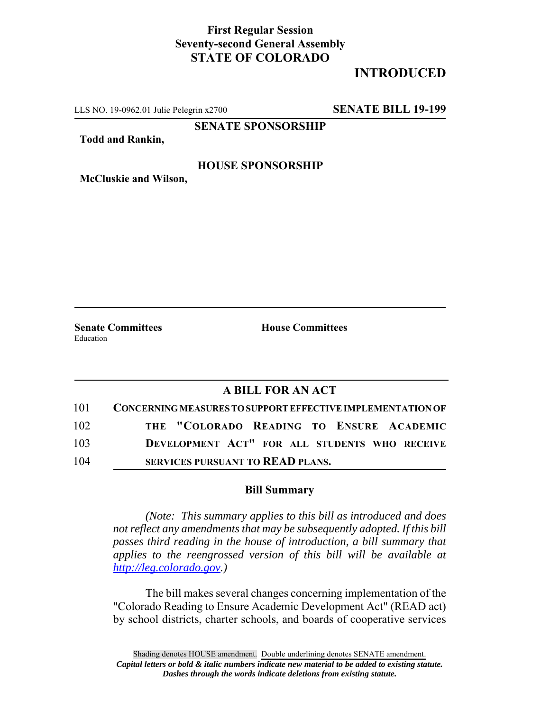## **First Regular Session Seventy-second General Assembly STATE OF COLORADO**

# **INTRODUCED**

LLS NO. 19-0962.01 Julie Pelegrin x2700 **SENATE BILL 19-199**

**SENATE SPONSORSHIP**

**Todd and Rankin,**

## **HOUSE SPONSORSHIP**

**McCluskie and Wilson,**

Education

**Senate Committees House Committees** 

## **A BILL FOR AN ACT**

| 101 | <b>CONCERNING MEASURES TO SUPPORT EFFECTIVE IMPLEMENTATION OF</b> |
|-----|-------------------------------------------------------------------|
| 102 | THE "COLORADO READING TO ENSURE ACADEMIC                          |
| 103 | DEVELOPMENT ACT" FOR ALL STUDENTS WHO RECEIVE                     |
| 104 | <b>SERVICES PURSUANT TO READ PLANS.</b>                           |

## **Bill Summary**

*(Note: This summary applies to this bill as introduced and does not reflect any amendments that may be subsequently adopted. If this bill passes third reading in the house of introduction, a bill summary that applies to the reengrossed version of this bill will be available at http://leg.colorado.gov.)*

The bill makes several changes concerning implementation of the "Colorado Reading to Ensure Academic Development Act" (READ act) by school districts, charter schools, and boards of cooperative services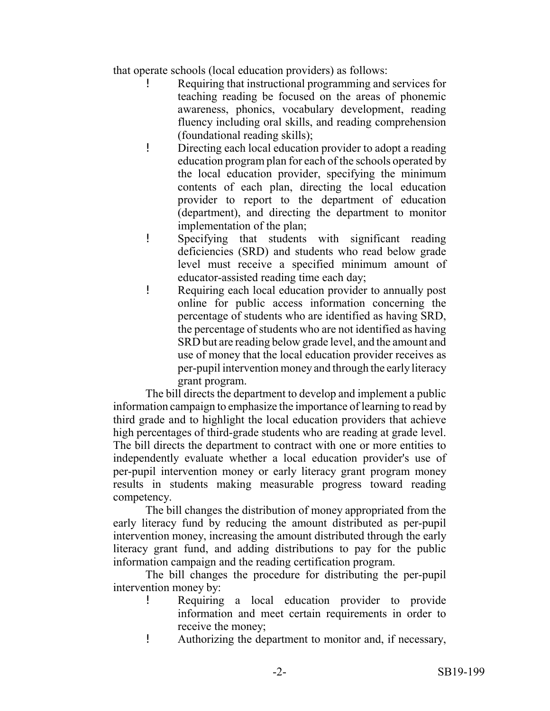that operate schools (local education providers) as follows:

- ! Requiring that instructional programming and services for teaching reading be focused on the areas of phonemic awareness, phonics, vocabulary development, reading fluency including oral skills, and reading comprehension (foundational reading skills);
- ! Directing each local education provider to adopt a reading education program plan for each of the schools operated by the local education provider, specifying the minimum contents of each plan, directing the local education provider to report to the department of education (department), and directing the department to monitor implementation of the plan;
- ! Specifying that students with significant reading deficiencies (SRD) and students who read below grade level must receive a specified minimum amount of educator-assisted reading time each day;
- ! Requiring each local education provider to annually post online for public access information concerning the percentage of students who are identified as having SRD, the percentage of students who are not identified as having SRD but are reading below grade level, and the amount and use of money that the local education provider receives as per-pupil intervention money and through the early literacy grant program.

The bill directs the department to develop and implement a public information campaign to emphasize the importance of learning to read by third grade and to highlight the local education providers that achieve high percentages of third-grade students who are reading at grade level. The bill directs the department to contract with one or more entities to independently evaluate whether a local education provider's use of per-pupil intervention money or early literacy grant program money results in students making measurable progress toward reading competency.

The bill changes the distribution of money appropriated from the early literacy fund by reducing the amount distributed as per-pupil intervention money, increasing the amount distributed through the early literacy grant fund, and adding distributions to pay for the public information campaign and the reading certification program.

The bill changes the procedure for distributing the per-pupil intervention money by:

- ! Requiring a local education provider to provide information and meet certain requirements in order to receive the money;
- ! Authorizing the department to monitor and, if necessary,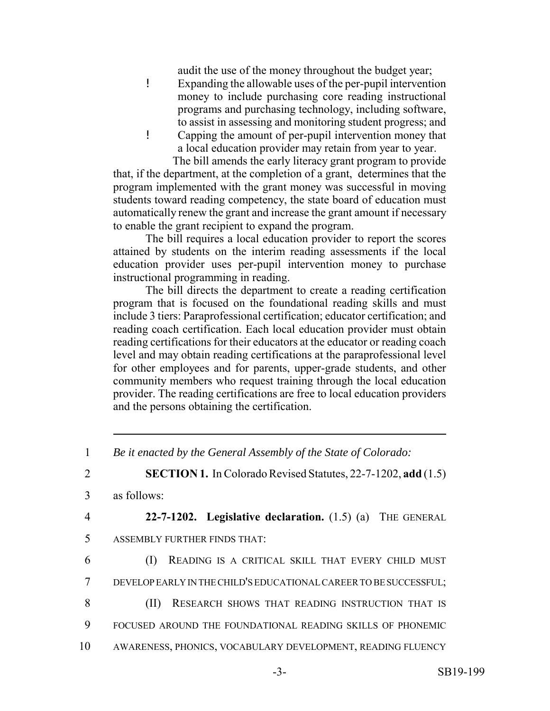audit the use of the money throughout the budget year;

- ! Expanding the allowable uses of the per-pupil intervention money to include purchasing core reading instructional programs and purchasing technology, including software, to assist in assessing and monitoring student progress; and
- ! Capping the amount of per-pupil intervention money that a local education provider may retain from year to year.

 The bill amends the early literacy grant program to provide that, if the department, at the completion of a grant, determines that the program implemented with the grant money was successful in moving students toward reading competency, the state board of education must automatically renew the grant and increase the grant amount if necessary to enable the grant recipient to expand the program.

The bill requires a local education provider to report the scores attained by students on the interim reading assessments if the local education provider uses per-pupil intervention money to purchase instructional programming in reading.

The bill directs the department to create a reading certification program that is focused on the foundational reading skills and must include 3 tiers: Paraprofessional certification; educator certification; and reading coach certification. Each local education provider must obtain reading certifications for their educators at the educator or reading coach level and may obtain reading certifications at the paraprofessional level for other employees and for parents, upper-grade students, and other community members who request training through the local education provider. The reading certifications are free to local education providers and the persons obtaining the certification.

2 **SECTION 1.** In Colorado Revised Statutes, 22-7-1202, **add** (1.5)

3 as follows:

4 **22-7-1202. Legislative declaration.** (1.5) (a) THE GENERAL 5 ASSEMBLY FURTHER FINDS THAT:

- 
- 6 (I) READING IS A CRITICAL SKILL THAT EVERY CHILD MUST
- 7 DEVELOP EARLY IN THE CHILD'S EDUCATIONAL CAREER TO BE SUCCESSFUL;
- 8 (II) RESEARCH SHOWS THAT READING INSTRUCTION THAT IS
- 9 FOCUSED AROUND THE FOUNDATIONAL READING SKILLS OF PHONEMIC
- 10 AWARENESS, PHONICS, VOCABULARY DEVELOPMENT, READING FLUENCY

<sup>1</sup> *Be it enacted by the General Assembly of the State of Colorado:*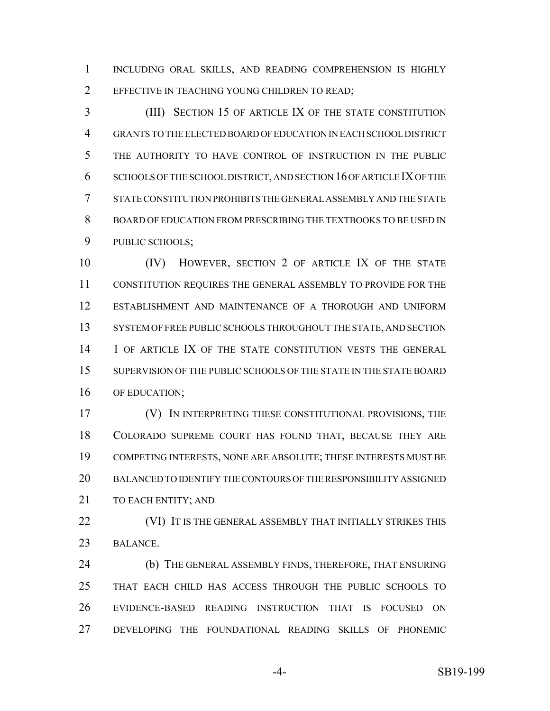INCLUDING ORAL SKILLS, AND READING COMPREHENSION IS HIGHLY 2 EFFECTIVE IN TEACHING YOUNG CHILDREN TO READ;

 (III) SECTION 15 OF ARTICLE IX OF THE STATE CONSTITUTION GRANTS TO THE ELECTED BOARD OF EDUCATION IN EACH SCHOOL DISTRICT THE AUTHORITY TO HAVE CONTROL OF INSTRUCTION IN THE PUBLIC SCHOOLS OF THE SCHOOL DISTRICT, AND SECTION 16 OF ARTICLE IX OF THE STATE CONSTITUTION PROHIBITS THE GENERAL ASSEMBLY AND THE STATE BOARD OF EDUCATION FROM PRESCRIBING THE TEXTBOOKS TO BE USED IN PUBLIC SCHOOLS;

 (IV) HOWEVER, SECTION 2 OF ARTICLE IX OF THE STATE CONSTITUTION REQUIRES THE GENERAL ASSEMBLY TO PROVIDE FOR THE ESTABLISHMENT AND MAINTENANCE OF A THOROUGH AND UNIFORM 13 SYSTEM OF FREE PUBLIC SCHOOLS THROUGHOUT THE STATE, AND SECTION 1 OF ARTICLE IX OF THE STATE CONSTITUTION VESTS THE GENERAL 15 SUPERVISION OF THE PUBLIC SCHOOLS OF THE STATE IN THE STATE BOARD OF EDUCATION;

 (V) IN INTERPRETING THESE CONSTITUTIONAL PROVISIONS, THE COLORADO SUPREME COURT HAS FOUND THAT, BECAUSE THEY ARE COMPETING INTERESTS, NONE ARE ABSOLUTE; THESE INTERESTS MUST BE BALANCED TO IDENTIFY THE CONTOURS OF THE RESPONSIBILITY ASSIGNED 21 TO EACH ENTITY: AND

**(VI) IT IS THE GENERAL ASSEMBLY THAT INITIALLY STRIKES THIS** BALANCE.

 (b) THE GENERAL ASSEMBLY FINDS, THEREFORE, THAT ENSURING THAT EACH CHILD HAS ACCESS THROUGH THE PUBLIC SCHOOLS TO EVIDENCE-BASED READING INSTRUCTION THAT IS FOCUSED ON DEVELOPING THE FOUNDATIONAL READING SKILLS OF PHONEMIC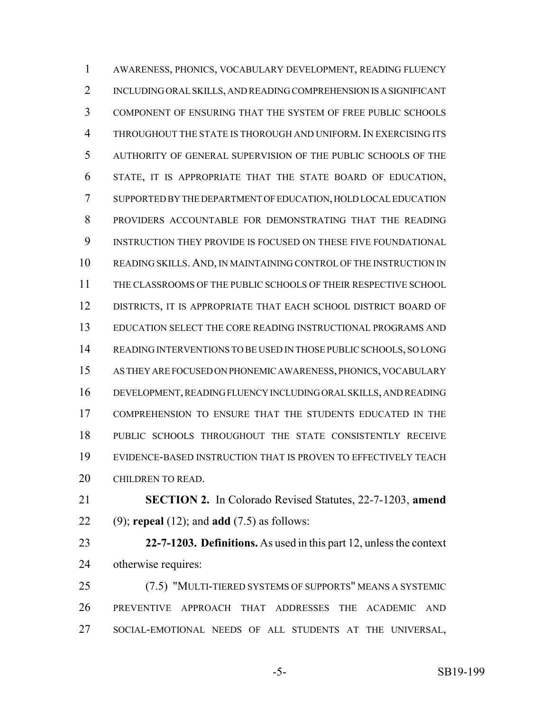AWARENESS, PHONICS, VOCABULARY DEVELOPMENT, READING FLUENCY INCLUDING ORAL SKILLS, AND READING COMPREHENSION IS A SIGNIFICANT COMPONENT OF ENSURING THAT THE SYSTEM OF FREE PUBLIC SCHOOLS 4 THROUGHOUT THE STATE IS THOROUGH AND UNIFORM. IN EXERCISING ITS AUTHORITY OF GENERAL SUPERVISION OF THE PUBLIC SCHOOLS OF THE STATE, IT IS APPROPRIATE THAT THE STATE BOARD OF EDUCATION, SUPPORTED BY THE DEPARTMENT OF EDUCATION, HOLD LOCAL EDUCATION PROVIDERS ACCOUNTABLE FOR DEMONSTRATING THAT THE READING INSTRUCTION THEY PROVIDE IS FOCUSED ON THESE FIVE FOUNDATIONAL READING SKILLS. AND, IN MAINTAINING CONTROL OF THE INSTRUCTION IN THE CLASSROOMS OF THE PUBLIC SCHOOLS OF THEIR RESPECTIVE SCHOOL DISTRICTS, IT IS APPROPRIATE THAT EACH SCHOOL DISTRICT BOARD OF EDUCATION SELECT THE CORE READING INSTRUCTIONAL PROGRAMS AND READING INTERVENTIONS TO BE USED IN THOSE PUBLIC SCHOOLS, SO LONG AS THEY ARE FOCUSED ON PHONEMIC AWARENESS, PHONICS, VOCABULARY DEVELOPMENT, READING FLUENCY INCLUDING ORAL SKILLS, AND READING COMPREHENSION TO ENSURE THAT THE STUDENTS EDUCATED IN THE PUBLIC SCHOOLS THROUGHOUT THE STATE CONSISTENTLY RECEIVE EVIDENCE-BASED INSTRUCTION THAT IS PROVEN TO EFFECTIVELY TEACH CHILDREN TO READ.

 **SECTION 2.** In Colorado Revised Statutes, 22-7-1203, **amend** (9); **repeal** (12); and **add** (7.5) as follows:

 **22-7-1203. Definitions.** As used in this part 12, unless the context otherwise requires:

 (7.5) "MULTI-TIERED SYSTEMS OF SUPPORTS" MEANS A SYSTEMIC PREVENTIVE APPROACH THAT ADDRESSES THE ACADEMIC AND SOCIAL-EMOTIONAL NEEDS OF ALL STUDENTS AT THE UNIVERSAL,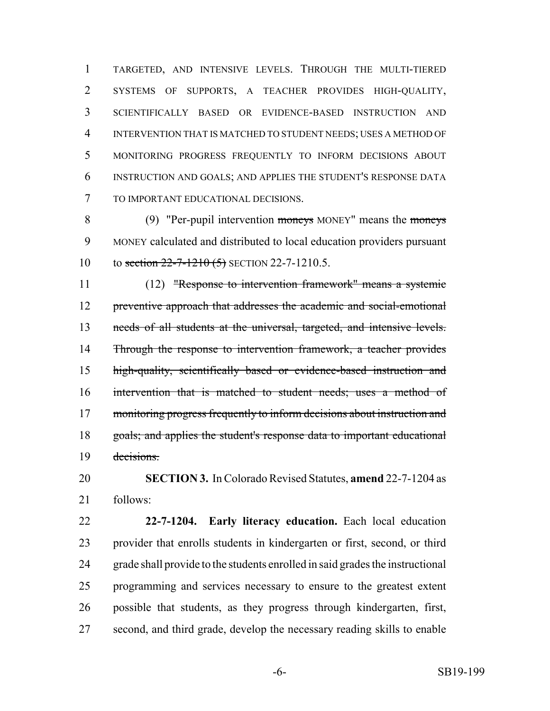TARGETED, AND INTENSIVE LEVELS. THROUGH THE MULTI-TIERED SYSTEMS OF SUPPORTS, A TEACHER PROVIDES HIGH-QUALITY, SCIENTIFICALLY BASED OR EVIDENCE-BASED INSTRUCTION AND INTERVENTION THAT IS MATCHED TO STUDENT NEEDS; USES A METHOD OF MONITORING PROGRESS FREQUENTLY TO INFORM DECISIONS ABOUT INSTRUCTION AND GOALS; AND APPLIES THE STUDENT'S RESPONSE DATA TO IMPORTANT EDUCATIONAL DECISIONS.

8 (9) "Per-pupil intervention moneys MONEY" means the moneys MONEY calculated and distributed to local education providers pursuant 10 to section 22-7-1210 (5) SECTION 22-7-1210.5.

 (12) "Response to intervention framework" means a systemic preventive approach that addresses the academic and social-emotional 13 needs of all students at the universal, targeted, and intensive levels. 14 Through the response to intervention framework, a teacher provides high-quality, scientifically based or evidence-based instruction and intervention that is matched to student needs; uses a method of 17 monitoring progress frequently to inform decisions about instruction and goals; and applies the student's response data to important educational decisions.

 **SECTION 3.** In Colorado Revised Statutes, **amend** 22-7-1204 as follows:

 **22-7-1204. Early literacy education.** Each local education provider that enrolls students in kindergarten or first, second, or third grade shall provide to the students enrolled in said grades the instructional programming and services necessary to ensure to the greatest extent possible that students, as they progress through kindergarten, first, second, and third grade, develop the necessary reading skills to enable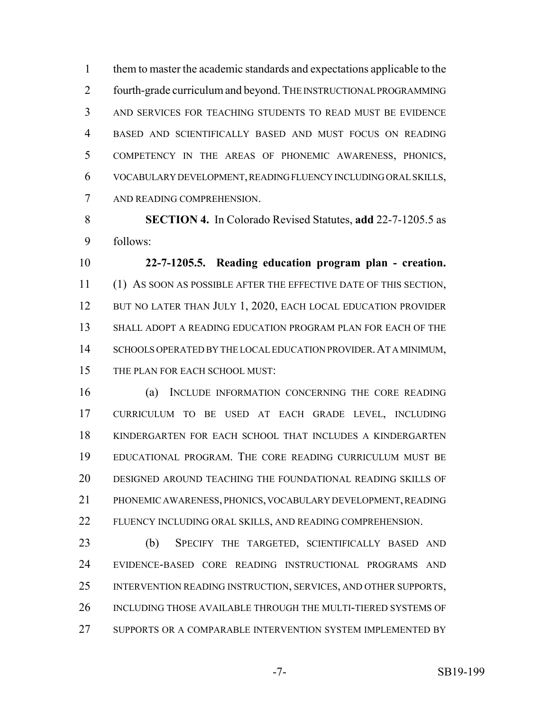them to master the academic standards and expectations applicable to the fourth-grade curriculum and beyond. THE INSTRUCTIONAL PROGRAMMING AND SERVICES FOR TEACHING STUDENTS TO READ MUST BE EVIDENCE BASED AND SCIENTIFICALLY BASED AND MUST FOCUS ON READING COMPETENCY IN THE AREAS OF PHONEMIC AWARENESS, PHONICS, VOCABULARY DEVELOPMENT, READING FLUENCY INCLUDING ORAL SKILLS, AND READING COMPREHENSION.

 **SECTION 4.** In Colorado Revised Statutes, **add** 22-7-1205.5 as follows:

 **22-7-1205.5. Reading education program plan - creation.** (1) AS SOON AS POSSIBLE AFTER THE EFFECTIVE DATE OF THIS SECTION, 12 BUT NO LATER THAN JULY 1, 2020, EACH LOCAL EDUCATION PROVIDER SHALL ADOPT A READING EDUCATION PROGRAM PLAN FOR EACH OF THE 14 SCHOOLS OPERATED BY THE LOCAL EDUCATION PROVIDER. AT A MINIMUM, 15 THE PLAN FOR EACH SCHOOL MUST:

 (a) INCLUDE INFORMATION CONCERNING THE CORE READING CURRICULUM TO BE USED AT EACH GRADE LEVEL, INCLUDING KINDERGARTEN FOR EACH SCHOOL THAT INCLUDES A KINDERGARTEN EDUCATIONAL PROGRAM. THE CORE READING CURRICULUM MUST BE DESIGNED AROUND TEACHING THE FOUNDATIONAL READING SKILLS OF PHONEMIC AWARENESS, PHONICS, VOCABULARY DEVELOPMENT, READING FLUENCY INCLUDING ORAL SKILLS, AND READING COMPREHENSION.

 (b) SPECIFY THE TARGETED, SCIENTIFICALLY BASED AND EVIDENCE-BASED CORE READING INSTRUCTIONAL PROGRAMS AND INTERVENTION READING INSTRUCTION, SERVICES, AND OTHER SUPPORTS, INCLUDING THOSE AVAILABLE THROUGH THE MULTI-TIERED SYSTEMS OF SUPPORTS OR A COMPARABLE INTERVENTION SYSTEM IMPLEMENTED BY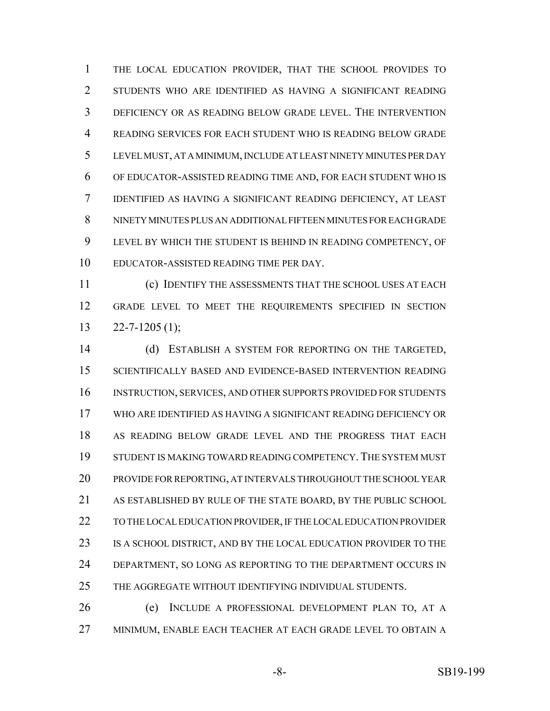THE LOCAL EDUCATION PROVIDER, THAT THE SCHOOL PROVIDES TO STUDENTS WHO ARE IDENTIFIED AS HAVING A SIGNIFICANT READING DEFICIENCY OR AS READING BELOW GRADE LEVEL. THE INTERVENTION READING SERVICES FOR EACH STUDENT WHO IS READING BELOW GRADE LEVEL MUST, AT A MINIMUM, INCLUDE AT LEAST NINETY MINUTES PER DAY OF EDUCATOR-ASSISTED READING TIME AND, FOR EACH STUDENT WHO IS IDENTIFIED AS HAVING A SIGNIFICANT READING DEFICIENCY, AT LEAST NINETY MINUTES PLUS AN ADDITIONAL FIFTEEN MINUTES FOR EACH GRADE LEVEL BY WHICH THE STUDENT IS BEHIND IN READING COMPETENCY, OF EDUCATOR-ASSISTED READING TIME PER DAY.

 (c) IDENTIFY THE ASSESSMENTS THAT THE SCHOOL USES AT EACH GRADE LEVEL TO MEET THE REQUIREMENTS SPECIFIED IN SECTION  $13 \qquad 22 - 7 - 1205 \tag{1};$ 

 (d) ESTABLISH A SYSTEM FOR REPORTING ON THE TARGETED, SCIENTIFICALLY BASED AND EVIDENCE-BASED INTERVENTION READING INSTRUCTION, SERVICES, AND OTHER SUPPORTS PROVIDED FOR STUDENTS WHO ARE IDENTIFIED AS HAVING A SIGNIFICANT READING DEFICIENCY OR AS READING BELOW GRADE LEVEL AND THE PROGRESS THAT EACH STUDENT IS MAKING TOWARD READING COMPETENCY. THE SYSTEM MUST PROVIDE FOR REPORTING, AT INTERVALS THROUGHOUT THE SCHOOL YEAR AS ESTABLISHED BY RULE OF THE STATE BOARD, BY THE PUBLIC SCHOOL TO THE LOCAL EDUCATION PROVIDER, IF THE LOCAL EDUCATION PROVIDER 23 IS A SCHOOL DISTRICT, AND BY THE LOCAL EDUCATION PROVIDER TO THE 24 DEPARTMENT, SO LONG AS REPORTING TO THE DEPARTMENT OCCURS IN THE AGGREGATE WITHOUT IDENTIFYING INDIVIDUAL STUDENTS.

 (e) INCLUDE A PROFESSIONAL DEVELOPMENT PLAN TO, AT A MINIMUM, ENABLE EACH TEACHER AT EACH GRADE LEVEL TO OBTAIN A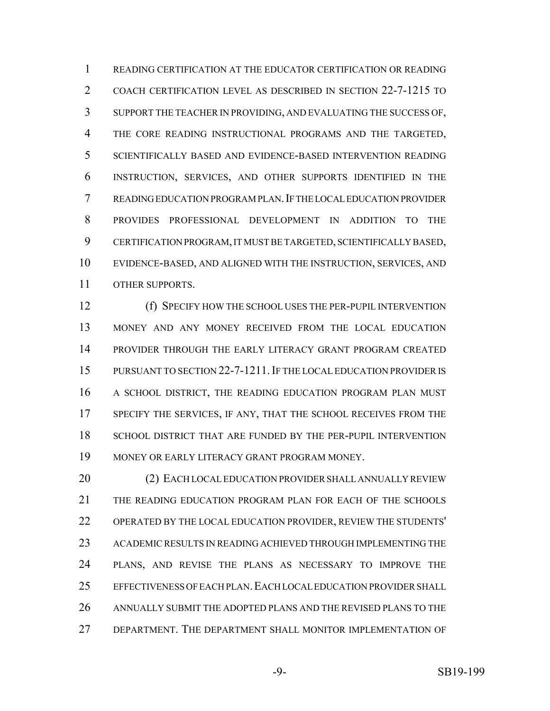READING CERTIFICATION AT THE EDUCATOR CERTIFICATION OR READING COACH CERTIFICATION LEVEL AS DESCRIBED IN SECTION 22-7-1215 TO SUPPORT THE TEACHER IN PROVIDING, AND EVALUATING THE SUCCESS OF, THE CORE READING INSTRUCTIONAL PROGRAMS AND THE TARGETED, SCIENTIFICALLY BASED AND EVIDENCE-BASED INTERVENTION READING INSTRUCTION, SERVICES, AND OTHER SUPPORTS IDENTIFIED IN THE READING EDUCATION PROGRAM PLAN.IF THE LOCAL EDUCATION PROVIDER PROVIDES PROFESSIONAL DEVELOPMENT IN ADDITION TO THE CERTIFICATION PROGRAM, IT MUST BE TARGETED, SCIENTIFICALLY BASED, EVIDENCE-BASED, AND ALIGNED WITH THE INSTRUCTION, SERVICES, AND OTHER SUPPORTS.

 (f) SPECIFY HOW THE SCHOOL USES THE PER-PUPIL INTERVENTION MONEY AND ANY MONEY RECEIVED FROM THE LOCAL EDUCATION PROVIDER THROUGH THE EARLY LITERACY GRANT PROGRAM CREATED 15 PURSUANT TO SECTION 22-7-1211. IF THE LOCAL EDUCATION PROVIDER IS 16 A SCHOOL DISTRICT, THE READING EDUCATION PROGRAM PLAN MUST 17 SPECIFY THE SERVICES, IF ANY, THAT THE SCHOOL RECEIVES FROM THE SCHOOL DISTRICT THAT ARE FUNDED BY THE PER-PUPIL INTERVENTION MONEY OR EARLY LITERACY GRANT PROGRAM MONEY.

20 (2) EACH LOCAL EDUCATION PROVIDER SHALL ANNUALLY REVIEW THE READING EDUCATION PROGRAM PLAN FOR EACH OF THE SCHOOLS OPERATED BY THE LOCAL EDUCATION PROVIDER, REVIEW THE STUDENTS' ACADEMIC RESULTS IN READING ACHIEVED THROUGH IMPLEMENTING THE PLANS, AND REVISE THE PLANS AS NECESSARY TO IMPROVE THE EFFECTIVENESS OF EACH PLAN.EACH LOCAL EDUCATION PROVIDER SHALL ANNUALLY SUBMIT THE ADOPTED PLANS AND THE REVISED PLANS TO THE DEPARTMENT. THE DEPARTMENT SHALL MONITOR IMPLEMENTATION OF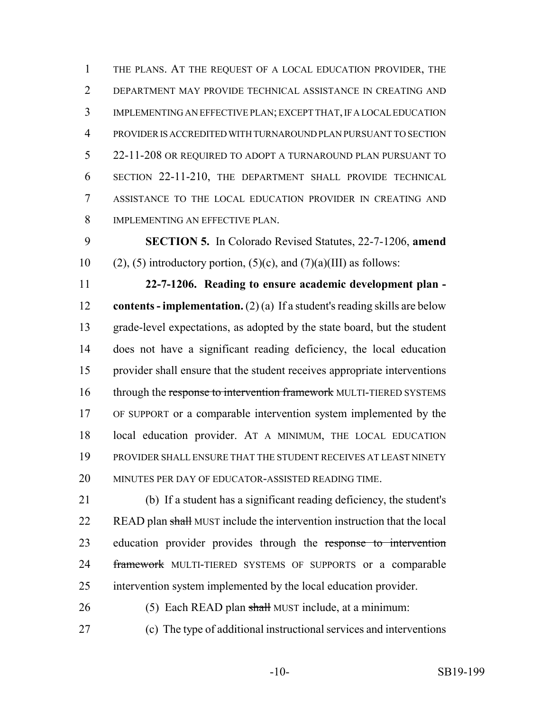THE PLANS. AT THE REQUEST OF A LOCAL EDUCATION PROVIDER, THE DEPARTMENT MAY PROVIDE TECHNICAL ASSISTANCE IN CREATING AND IMPLEMENTING AN EFFECTIVE PLAN; EXCEPT THAT, IF A LOCAL EDUCATION PROVIDER IS ACCREDITED WITH TURNAROUND PLAN PURSUANT TO SECTION 22-11-208 OR REQUIRED TO ADOPT A TURNAROUND PLAN PURSUANT TO SECTION 22-11-210, THE DEPARTMENT SHALL PROVIDE TECHNICAL ASSISTANCE TO THE LOCAL EDUCATION PROVIDER IN CREATING AND IMPLEMENTING AN EFFECTIVE PLAN.

 **SECTION 5.** In Colorado Revised Statutes, 22-7-1206, **amend** 10 (2), (5) introductory portion, (5)(c), and (7)(a)(III) as follows:

 **22-7-1206. Reading to ensure academic development plan - contents - implementation.** (2) (a) If a student's reading skills are below grade-level expectations, as adopted by the state board, but the student does not have a significant reading deficiency, the local education provider shall ensure that the student receives appropriate interventions 16 through the response to intervention framework MULTI-TIERED SYSTEMS OF SUPPORT or a comparable intervention system implemented by the local education provider. AT A MINIMUM, THE LOCAL EDUCATION PROVIDER SHALL ENSURE THAT THE STUDENT RECEIVES AT LEAST NINETY MINUTES PER DAY OF EDUCATOR-ASSISTED READING TIME.

 (b) If a student has a significant reading deficiency, the student's 22 READ plan shall MUST include the intervention instruction that the local 23 education provider provides through the response to intervention 24 framework MULTI-TIERED SYSTEMS OF SUPPORTS or a comparable intervention system implemented by the local education provider.

26 (5) Each READ plan shall MUST include, at a minimum:

(c) The type of additional instructional services and interventions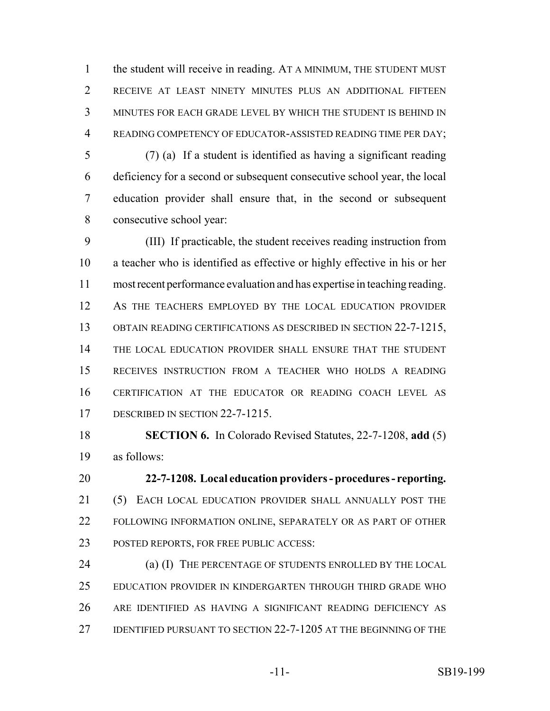the student will receive in reading. AT A MINIMUM, THE STUDENT MUST RECEIVE AT LEAST NINETY MINUTES PLUS AN ADDITIONAL FIFTEEN MINUTES FOR EACH GRADE LEVEL BY WHICH THE STUDENT IS BEHIND IN READING COMPETENCY OF EDUCATOR-ASSISTED READING TIME PER DAY;

 (7) (a) If a student is identified as having a significant reading deficiency for a second or subsequent consecutive school year, the local education provider shall ensure that, in the second or subsequent consecutive school year:

 (III) If practicable, the student receives reading instruction from a teacher who is identified as effective or highly effective in his or her most recent performance evaluation and has expertise in teaching reading. AS THE TEACHERS EMPLOYED BY THE LOCAL EDUCATION PROVIDER OBTAIN READING CERTIFICATIONS AS DESCRIBED IN SECTION 22-7-1215, 14 THE LOCAL EDUCATION PROVIDER SHALL ENSURE THAT THE STUDENT RECEIVES INSTRUCTION FROM A TEACHER WHO HOLDS A READING CERTIFICATION AT THE EDUCATOR OR READING COACH LEVEL AS 17 DESCRIBED IN SECTION 22-7-1215.

 **SECTION 6.** In Colorado Revised Statutes, 22-7-1208, **add** (5) as follows:

 **22-7-1208. Local education providers - procedures - reporting.** (5) EACH LOCAL EDUCATION PROVIDER SHALL ANNUALLY POST THE FOLLOWING INFORMATION ONLINE, SEPARATELY OR AS PART OF OTHER POSTED REPORTS, FOR FREE PUBLIC ACCESS:

24 (a) (I) THE PERCENTAGE OF STUDENTS ENROLLED BY THE LOCAL EDUCATION PROVIDER IN KINDERGARTEN THROUGH THIRD GRADE WHO ARE IDENTIFIED AS HAVING A SIGNIFICANT READING DEFICIENCY AS IDENTIFIED PURSUANT TO SECTION 22-7-1205 AT THE BEGINNING OF THE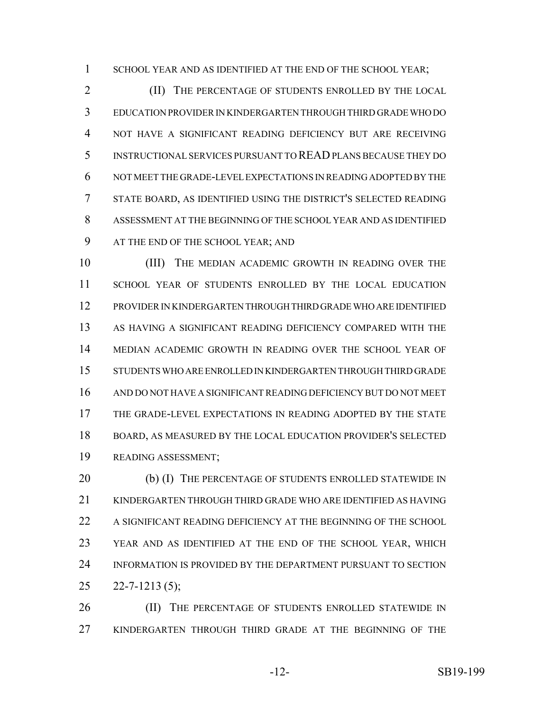1 SCHOOL YEAR AND AS IDENTIFIED AT THE END OF THE SCHOOL YEAR;

2 (II) THE PERCENTAGE OF STUDENTS ENROLLED BY THE LOCAL EDUCATION PROVIDER IN KINDERGARTEN THROUGH THIRD GRADE WHO DO NOT HAVE A SIGNIFICANT READING DEFICIENCY BUT ARE RECEIVING INSTRUCTIONAL SERVICES PURSUANT TO READ PLANS BECAUSE THEY DO NOT MEET THE GRADE-LEVEL EXPECTATIONS IN READING ADOPTED BY THE STATE BOARD, AS IDENTIFIED USING THE DISTRICT'S SELECTED READING ASSESSMENT AT THE BEGINNING OF THE SCHOOL YEAR AND AS IDENTIFIED AT THE END OF THE SCHOOL YEAR; AND

 (III) THE MEDIAN ACADEMIC GROWTH IN READING OVER THE SCHOOL YEAR OF STUDENTS ENROLLED BY THE LOCAL EDUCATION PROVIDER IN KINDERGARTEN THROUGH THIRD GRADE WHO ARE IDENTIFIED AS HAVING A SIGNIFICANT READING DEFICIENCY COMPARED WITH THE MEDIAN ACADEMIC GROWTH IN READING OVER THE SCHOOL YEAR OF STUDENTS WHO ARE ENROLLED IN KINDERGARTEN THROUGH THIRD GRADE AND DO NOT HAVE A SIGNIFICANT READING DEFICIENCY BUT DO NOT MEET THE GRADE-LEVEL EXPECTATIONS IN READING ADOPTED BY THE STATE BOARD, AS MEASURED BY THE LOCAL EDUCATION PROVIDER'S SELECTED READING ASSESSMENT;

20 (b) (I) THE PERCENTAGE OF STUDENTS ENROLLED STATEWIDE IN KINDERGARTEN THROUGH THIRD GRADE WHO ARE IDENTIFIED AS HAVING A SIGNIFICANT READING DEFICIENCY AT THE BEGINNING OF THE SCHOOL YEAR AND AS IDENTIFIED AT THE END OF THE SCHOOL YEAR, WHICH INFORMATION IS PROVIDED BY THE DEPARTMENT PURSUANT TO SECTION  $25 \quad 22 - 7 - 1213 \, (5);$ 

26 (II) THE PERCENTAGE OF STUDENTS ENROLLED STATEWIDE IN KINDERGARTEN THROUGH THIRD GRADE AT THE BEGINNING OF THE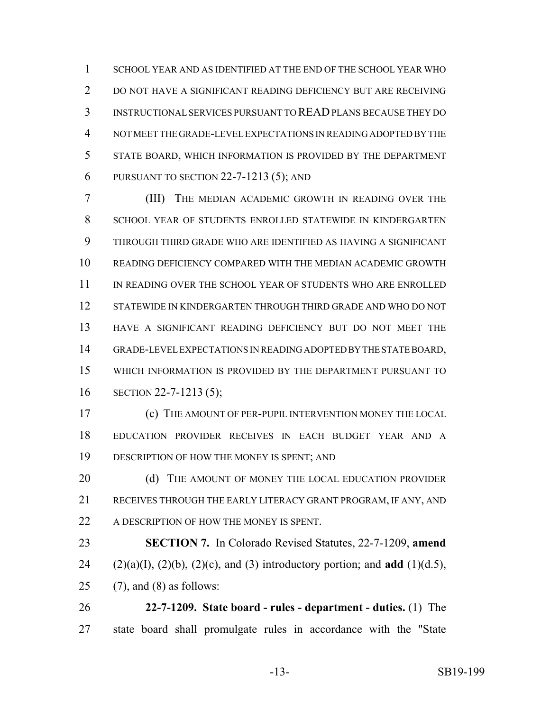SCHOOL YEAR AND AS IDENTIFIED AT THE END OF THE SCHOOL YEAR WHO 2 DO NOT HAVE A SIGNIFICANT READING DEFICIENCY BUT ARE RECEIVING INSTRUCTIONAL SERVICES PURSUANT TO READ PLANS BECAUSE THEY DO NOT MEET THE GRADE-LEVEL EXPECTATIONS IN READING ADOPTED BY THE STATE BOARD, WHICH INFORMATION IS PROVIDED BY THE DEPARTMENT PURSUANT TO SECTION 22-7-1213 (5); AND

 (III) THE MEDIAN ACADEMIC GROWTH IN READING OVER THE SCHOOL YEAR OF STUDENTS ENROLLED STATEWIDE IN KINDERGARTEN THROUGH THIRD GRADE WHO ARE IDENTIFIED AS HAVING A SIGNIFICANT READING DEFICIENCY COMPARED WITH THE MEDIAN ACADEMIC GROWTH IN READING OVER THE SCHOOL YEAR OF STUDENTS WHO ARE ENROLLED STATEWIDE IN KINDERGARTEN THROUGH THIRD GRADE AND WHO DO NOT HAVE A SIGNIFICANT READING DEFICIENCY BUT DO NOT MEET THE GRADE-LEVEL EXPECTATIONS IN READING ADOPTED BY THE STATE BOARD, WHICH INFORMATION IS PROVIDED BY THE DEPARTMENT PURSUANT TO SECTION 22-7-1213 (5);

 (c) THE AMOUNT OF PER-PUPIL INTERVENTION MONEY THE LOCAL EDUCATION PROVIDER RECEIVES IN EACH BUDGET YEAR AND A DESCRIPTION OF HOW THE MONEY IS SPENT; AND

20 (d) THE AMOUNT OF MONEY THE LOCAL EDUCATION PROVIDER RECEIVES THROUGH THE EARLY LITERACY GRANT PROGRAM, IF ANY, AND 22 A DESCRIPTION OF HOW THE MONEY IS SPENT.

 **SECTION 7.** In Colorado Revised Statutes, 22-7-1209, **amend** 24 (2)(a)(I), (2)(b), (2)(c), and (3) introductory portion; and **add** (1)(d.5), 25 (7), and (8) as follows:

 **22-7-1209. State board - rules - department - duties.** (1) The state board shall promulgate rules in accordance with the "State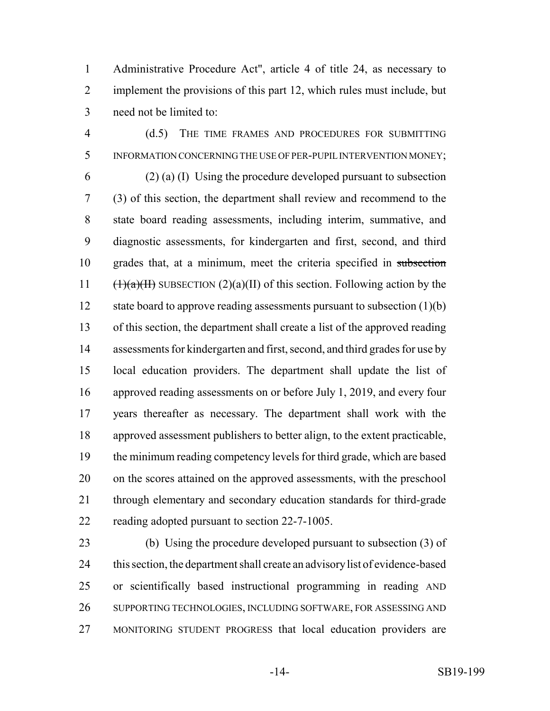Administrative Procedure Act", article 4 of title 24, as necessary to implement the provisions of this part 12, which rules must include, but need not be limited to:

 (d.5) THE TIME FRAMES AND PROCEDURES FOR SUBMITTING INFORMATION CONCERNING THE USE OF PER-PUPIL INTERVENTION MONEY; (2) (a) (I) Using the procedure developed pursuant to subsection (3) of this section, the department shall review and recommend to the state board reading assessments, including interim, summative, and diagnostic assessments, for kindergarten and first, second, and third grades that, at a minimum, meet the criteria specified in subsection  $(\frac{1}{a})(\frac{1}{b})$  SUBSECTION  $(2)(a)(II)$  of this section. Following action by the 12 state board to approve reading assessments pursuant to subsection (1)(b) of this section, the department shall create a list of the approved reading assessments for kindergarten and first, second, and third grades for use by local education providers. The department shall update the list of approved reading assessments on or before July 1, 2019, and every four years thereafter as necessary. The department shall work with the approved assessment publishers to better align, to the extent practicable, the minimum reading competency levels for third grade, which are based on the scores attained on the approved assessments, with the preschool through elementary and secondary education standards for third-grade reading adopted pursuant to section 22-7-1005.

 (b) Using the procedure developed pursuant to subsection (3) of this section, the department shall create an advisory list of evidence-based or scientifically based instructional programming in reading AND SUPPORTING TECHNOLOGIES, INCLUDING SOFTWARE, FOR ASSESSING AND MONITORING STUDENT PROGRESS that local education providers are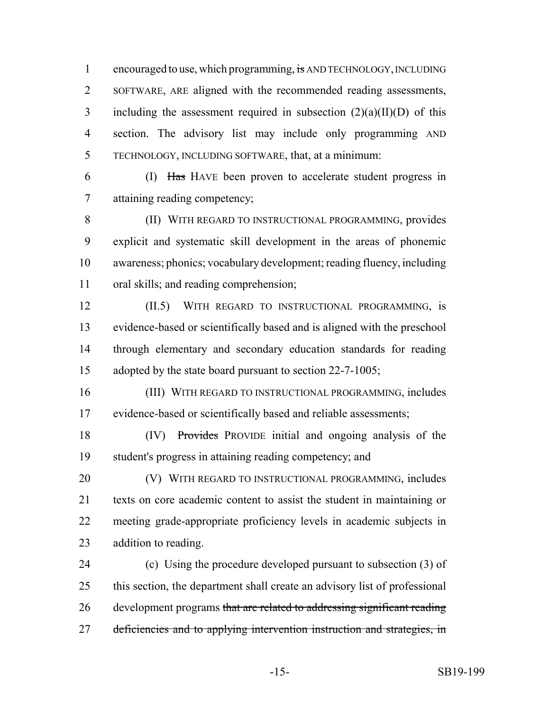1 encouraged to use, which programming, is AND TECHNOLOGY, INCLUDING SOFTWARE, ARE aligned with the recommended reading assessments, 3 including the assessment required in subsection  $(2)(a)(II)(D)$  of this section. The advisory list may include only programming AND TECHNOLOGY, INCLUDING SOFTWARE, that, at a minimum:

 (I) Has HAVE been proven to accelerate student progress in attaining reading competency;

 (II) WITH REGARD TO INSTRUCTIONAL PROGRAMMING, provides explicit and systematic skill development in the areas of phonemic awareness; phonics; vocabulary development; reading fluency, including oral skills; and reading comprehension;

 (II.5) WITH REGARD TO INSTRUCTIONAL PROGRAMMING, is evidence-based or scientifically based and is aligned with the preschool through elementary and secondary education standards for reading 15 adopted by the state board pursuant to section 22-7-1005;

 (III) WITH REGARD TO INSTRUCTIONAL PROGRAMMING, includes evidence-based or scientifically based and reliable assessments;

 (IV) Provides PROVIDE initial and ongoing analysis of the student's progress in attaining reading competency; and

 (V) WITH REGARD TO INSTRUCTIONAL PROGRAMMING, includes texts on core academic content to assist the student in maintaining or meeting grade-appropriate proficiency levels in academic subjects in addition to reading.

 (c) Using the procedure developed pursuant to subsection (3) of this section, the department shall create an advisory list of professional development programs that are related to addressing significant reading 27 deficiencies and to applying intervention instruction and strategies, in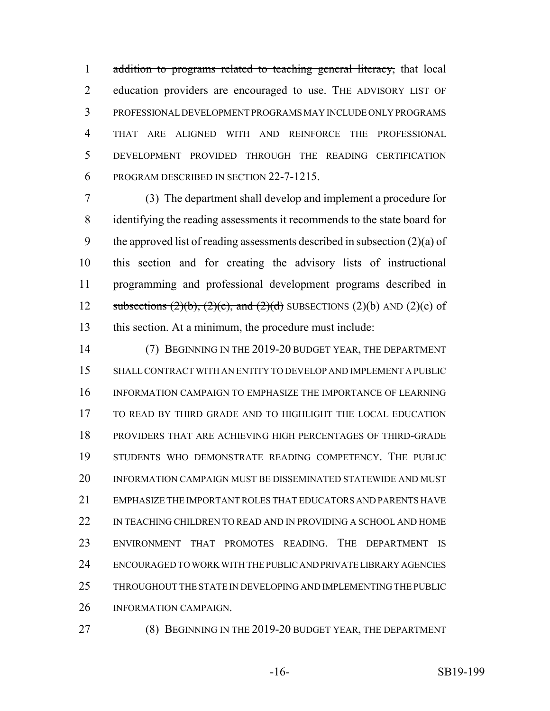1 addition to programs related to teaching general literacy, that local education providers are encouraged to use. THE ADVISORY LIST OF PROFESSIONAL DEVELOPMENT PROGRAMS MAY INCLUDE ONLY PROGRAMS THAT ARE ALIGNED WITH AND REINFORCE THE PROFESSIONAL DEVELOPMENT PROVIDED THROUGH THE READING CERTIFICATION PROGRAM DESCRIBED IN SECTION 22-7-1215.

 (3) The department shall develop and implement a procedure for identifying the reading assessments it recommends to the state board for 9 the approved list of reading assessments described in subsection  $(2)(a)$  of this section and for creating the advisory lists of instructional programming and professional development programs described in 12 subsections  $(2)(b)$ ,  $(2)(c)$ , and  $(2)(d)$  SUBSECTIONS  $(2)(b)$  AND  $(2)(c)$  of this section. At a minimum, the procedure must include:

 (7) BEGINNING IN THE 2019-20 BUDGET YEAR, THE DEPARTMENT SHALL CONTRACT WITH AN ENTITY TO DEVELOP AND IMPLEMENT A PUBLIC INFORMATION CAMPAIGN TO EMPHASIZE THE IMPORTANCE OF LEARNING TO READ BY THIRD GRADE AND TO HIGHLIGHT THE LOCAL EDUCATION PROVIDERS THAT ARE ACHIEVING HIGH PERCENTAGES OF THIRD-GRADE STUDENTS WHO DEMONSTRATE READING COMPETENCY. THE PUBLIC INFORMATION CAMPAIGN MUST BE DISSEMINATED STATEWIDE AND MUST EMPHASIZE THE IMPORTANT ROLES THAT EDUCATORS AND PARENTS HAVE 22 IN TEACHING CHILDREN TO READ AND IN PROVIDING A SCHOOL AND HOME ENVIRONMENT THAT PROMOTES READING. THE DEPARTMENT IS ENCOURAGED TO WORK WITH THE PUBLIC AND PRIVATE LIBRARY AGENCIES THROUGHOUT THE STATE IN DEVELOPING AND IMPLEMENTING THE PUBLIC INFORMATION CAMPAIGN.

(8) BEGINNING IN THE 2019-20 BUDGET YEAR, THE DEPARTMENT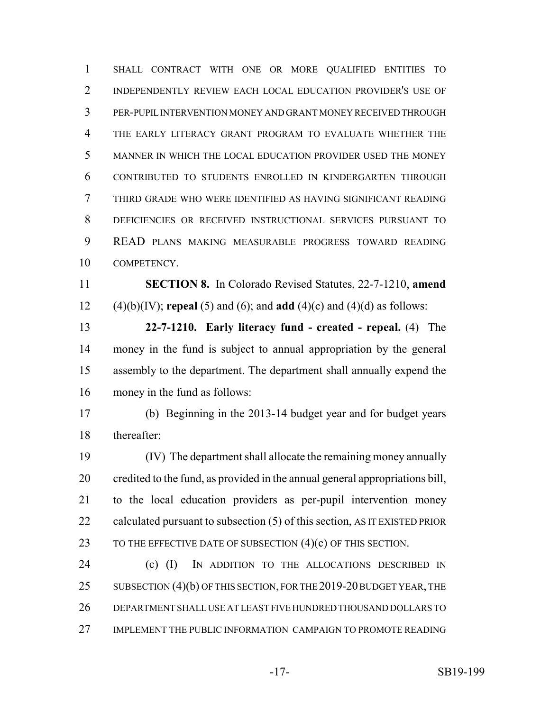SHALL CONTRACT WITH ONE OR MORE QUALIFIED ENTITIES TO INDEPENDENTLY REVIEW EACH LOCAL EDUCATION PROVIDER'S USE OF PER-PUPIL INTERVENTION MONEY AND GRANT MONEY RECEIVED THROUGH THE EARLY LITERACY GRANT PROGRAM TO EVALUATE WHETHER THE MANNER IN WHICH THE LOCAL EDUCATION PROVIDER USED THE MONEY CONTRIBUTED TO STUDENTS ENROLLED IN KINDERGARTEN THROUGH THIRD GRADE WHO WERE IDENTIFIED AS HAVING SIGNIFICANT READING DEFICIENCIES OR RECEIVED INSTRUCTIONAL SERVICES PURSUANT TO READ PLANS MAKING MEASURABLE PROGRESS TOWARD READING COMPETENCY. **SECTION 8.** In Colorado Revised Statutes, 22-7-1210, **amend**

(4)(b)(IV); **repeal** (5) and (6); and **add** (4)(c) and (4)(d) as follows:

 **22-7-1210. Early literacy fund - created - repeal.** (4) The money in the fund is subject to annual appropriation by the general assembly to the department. The department shall annually expend the money in the fund as follows:

 (b) Beginning in the 2013-14 budget year and for budget years thereafter:

 (IV) The department shall allocate the remaining money annually credited to the fund, as provided in the annual general appropriations bill, to the local education providers as per-pupil intervention money 22 calculated pursuant to subsection (5) of this section, AS IT EXISTED PRIOR 23 TO THE EFFECTIVE DATE OF SUBSECTION (4)(c) OF THIS SECTION.

 (c) (I) IN ADDITION TO THE ALLOCATIONS DESCRIBED IN 25 SUBSECTION (4)(b) OF THIS SECTION, FOR THE 2019-20 BUDGET YEAR, THE DEPARTMENT SHALL USE AT LEAST FIVE HUNDRED THOUSAND DOLLARS TO IMPLEMENT THE PUBLIC INFORMATION CAMPAIGN TO PROMOTE READING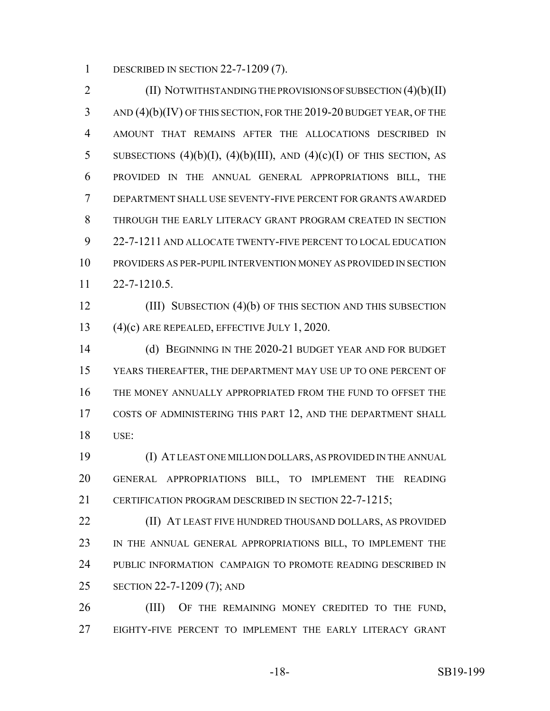DESCRIBED IN SECTION 22-7-1209 (7).

2 (II) NOTWITHSTANDING THE PROVISIONS OF SUBSECTION (4)(b)(II) AND (4)(b)(IV) OF THIS SECTION, FOR THE 2019-20 BUDGET YEAR, OF THE AMOUNT THAT REMAINS AFTER THE ALLOCATIONS DESCRIBED IN 5 SUBSECTIONS  $(4)(b)(I)$ ,  $(4)(b)(III)$ , AND  $(4)(c)(I)$  OF THIS SECTION, AS PROVIDED IN THE ANNUAL GENERAL APPROPRIATIONS BILL, THE DEPARTMENT SHALL USE SEVENTY-FIVE PERCENT FOR GRANTS AWARDED THROUGH THE EARLY LITERACY GRANT PROGRAM CREATED IN SECTION 22-7-1211 AND ALLOCATE TWENTY-FIVE PERCENT TO LOCAL EDUCATION PROVIDERS AS PER-PUPIL INTERVENTION MONEY AS PROVIDED IN SECTION 22-7-1210.5.

 (III) SUBSECTION (4)(b) OF THIS SECTION AND THIS SUBSECTION (4)(c) ARE REPEALED, EFFECTIVE JULY 1, 2020.

 (d) BEGINNING IN THE 2020-21 BUDGET YEAR AND FOR BUDGET YEARS THEREAFTER, THE DEPARTMENT MAY USE UP TO ONE PERCENT OF THE MONEY ANNUALLY APPROPRIATED FROM THE FUND TO OFFSET THE COSTS OF ADMINISTERING THIS PART 12, AND THE DEPARTMENT SHALL USE:

 (I) AT LEAST ONE MILLION DOLLARS, AS PROVIDED IN THE ANNUAL GENERAL APPROPRIATIONS BILL, TO IMPLEMENT THE READING 21 CERTIFICATION PROGRAM DESCRIBED IN SECTION 22-7-1215:

 (II) AT LEAST FIVE HUNDRED THOUSAND DOLLARS, AS PROVIDED 23 IN THE ANNUAL GENERAL APPROPRIATIONS BILL, TO IMPLEMENT THE PUBLIC INFORMATION CAMPAIGN TO PROMOTE READING DESCRIBED IN SECTION 22-7-1209 (7); AND

26 (III) OF THE REMAINING MONEY CREDITED TO THE FUND, EIGHTY-FIVE PERCENT TO IMPLEMENT THE EARLY LITERACY GRANT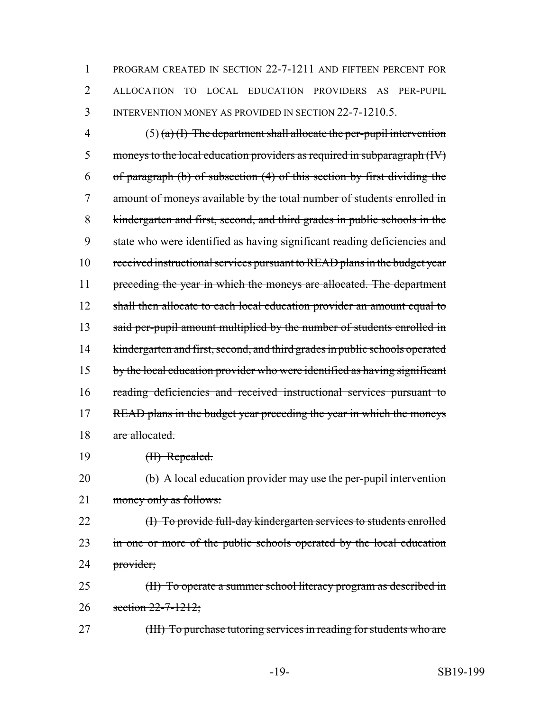1 PROGRAM CREATED IN SECTION 22-7-1211 AND FIFTEEN PERCENT FOR 2 ALLOCATION TO LOCAL EDUCATION PROVIDERS AS PER-PUPIL 3 INTERVENTION MONEY AS PROVIDED IN SECTION 22-7-1210.5.

4 (5) (a) (I) The department shall allocate the per-pupil intervention 5 moneys to the local education providers as required in subparagraph (IV) 6 of paragraph (b) of subsection (4) of this section by first dividing the 7 amount of moneys available by the total number of students enrolled in 8 kindergarten and first, second, and third grades in public schools in the 9 state who were identified as having significant reading deficiencies and 10 received instructional services pursuant to READ plans in the budget year 11 preceding the year in which the moneys are allocated. The department 12 shall then allocate to each local education provider an amount equal to 13 said per-pupil amount multiplied by the number of students enrolled in 14 kindergarten and first, second, and third grades in public schools operated 15 by the local education provider who were identified as having significant 16 reading deficiencies and received instructional services pursuant to 17 READ plans in the budget year preceding the year in which the moneys 18 are allocated.

19 <del>(II) Repealed.</del>

20 (b) A local education provider may use the per-pupil intervention 21 money only as follows:

22 (I) To provide full-day kindergarten services to students enrolled 23 in one or more of the public schools operated by the local education 24 provider;

25 (II) To operate a summer school literacy program as described in 26 section 22-7-1212;

27 (III) To purchase tutoring services in reading for students who are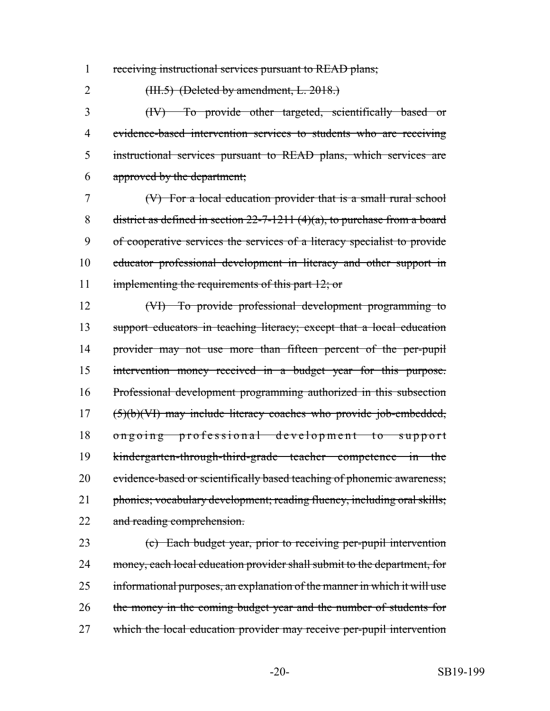receiving instructional services pursuant to READ plans;

2 (HH.5) (Deleted by amendment, L. 2018.)

 (IV) To provide other targeted, scientifically based or evidence-based intervention services to students who are receiving instructional services pursuant to READ plans, which services are approved by the department;

 (V) For a local education provider that is a small rural school 8 district as defined in section  $22-7-1211$  (4)(a), to purchase from a board of cooperative services the services of a literacy specialist to provide educator professional development in literacy and other support in 11 implementing the requirements of this part 12; or

 (VI) To provide professional development programming to support educators in teaching literacy; except that a local education provider may not use more than fifteen percent of the per-pupil intervention money received in a budget year for this purpose. Professional development programming authorized in this subsection (5)(b)(VI) may include literacy coaches who provide job-embedded, ongoing professional development to support kindergarten-through-third-grade teacher competence in the 20 evidence-based or scientifically based teaching of phonemic awareness; 21 phonics; vocabulary development; reading fluency, including oral skills; 22 and reading comprehension.

 (c) Each budget year, prior to receiving per-pupil intervention 24 money, each local education provider shall submit to the department, for informational purposes, an explanation of the manner in which it will use 26 the money in the coming budget year and the number of students for 27 which the local education provider may receive per-pupil intervention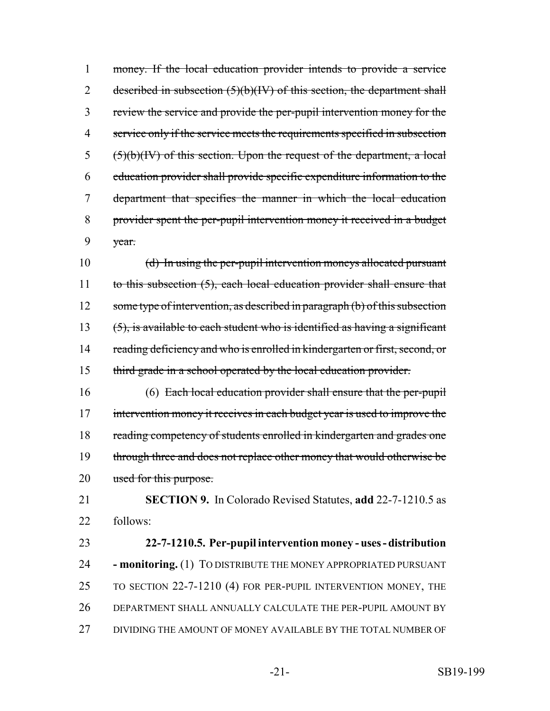money. If the local education provider intends to provide a service 2 described in subsection  $(5)(b)(IV)$  of this section, the department shall review the service and provide the per-pupil intervention money for the service only if the service meets the requirements specified in subsection ( $5)(b)(IV)$  of this section. Upon the request of the department, a local education provider shall provide specific expenditure information to the department that specifies the manner in which the local education provider spent the per-pupil intervention money it received in a budget year.

 (d) In using the per-pupil intervention moneys allocated pursuant 11 to this subsection (5), each local education provider shall ensure that 12 some type of intervention, as described in paragraph (b) of this subsection 13  $(5)$ , is available to each student who is identified as having a significant 14 reading deficiency and who is enrolled in kindergarten or first, second, or 15 third grade in a school operated by the local education provider.

 (6) Each local education provider shall ensure that the per-pupil 17 intervention money it receives in each budget year is used to improve the 18 reading competency of students enrolled in kindergarten and grades one 19 through three and does not replace other money that would otherwise be 20 used for this purpose.

 **SECTION 9.** In Colorado Revised Statutes, **add** 22-7-1210.5 as follows:

 **22-7-1210.5. Per-pupil intervention money - uses - distribution - monitoring.** (1) TO DISTRIBUTE THE MONEY APPROPRIATED PURSUANT TO SECTION 22-7-1210 (4) FOR PER-PUPIL INTERVENTION MONEY, THE DEPARTMENT SHALL ANNUALLY CALCULATE THE PER-PUPIL AMOUNT BY DIVIDING THE AMOUNT OF MONEY AVAILABLE BY THE TOTAL NUMBER OF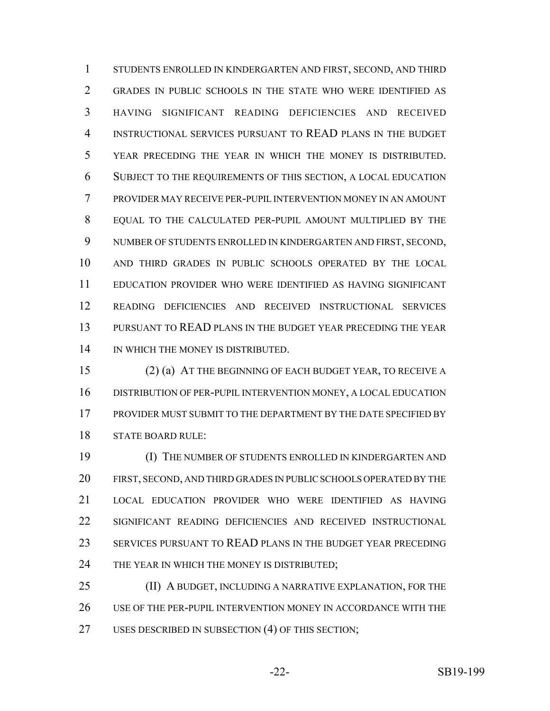STUDENTS ENROLLED IN KINDERGARTEN AND FIRST, SECOND, AND THIRD GRADES IN PUBLIC SCHOOLS IN THE STATE WHO WERE IDENTIFIED AS HAVING SIGNIFICANT READING DEFICIENCIES AND RECEIVED INSTRUCTIONAL SERVICES PURSUANT TO READ PLANS IN THE BUDGET YEAR PRECEDING THE YEAR IN WHICH THE MONEY IS DISTRIBUTED. SUBJECT TO THE REQUIREMENTS OF THIS SECTION, A LOCAL EDUCATION PROVIDER MAY RECEIVE PER-PUPIL INTERVENTION MONEY IN AN AMOUNT EQUAL TO THE CALCULATED PER-PUPIL AMOUNT MULTIPLIED BY THE NUMBER OF STUDENTS ENROLLED IN KINDERGARTEN AND FIRST, SECOND, AND THIRD GRADES IN PUBLIC SCHOOLS OPERATED BY THE LOCAL EDUCATION PROVIDER WHO WERE IDENTIFIED AS HAVING SIGNIFICANT READING DEFICIENCIES AND RECEIVED INSTRUCTIONAL SERVICES PURSUANT TO READ PLANS IN THE BUDGET YEAR PRECEDING THE YEAR 14 IN WHICH THE MONEY IS DISTRIBUTED.

 (2) (a) AT THE BEGINNING OF EACH BUDGET YEAR, TO RECEIVE A DISTRIBUTION OF PER-PUPIL INTERVENTION MONEY, A LOCAL EDUCATION PROVIDER MUST SUBMIT TO THE DEPARTMENT BY THE DATE SPECIFIED BY STATE BOARD RULE:

 (I) THE NUMBER OF STUDENTS ENROLLED IN KINDERGARTEN AND FIRST, SECOND, AND THIRD GRADES IN PUBLIC SCHOOLS OPERATED BY THE LOCAL EDUCATION PROVIDER WHO WERE IDENTIFIED AS HAVING SIGNIFICANT READING DEFICIENCIES AND RECEIVED INSTRUCTIONAL SERVICES PURSUANT TO READ PLANS IN THE BUDGET YEAR PRECEDING 24 THE YEAR IN WHICH THE MONEY IS DISTRIBUTED;

25 (II) A BUDGET, INCLUDING A NARRATIVE EXPLANATION, FOR THE USE OF THE PER-PUPIL INTERVENTION MONEY IN ACCORDANCE WITH THE USES DESCRIBED IN SUBSECTION (4) OF THIS SECTION;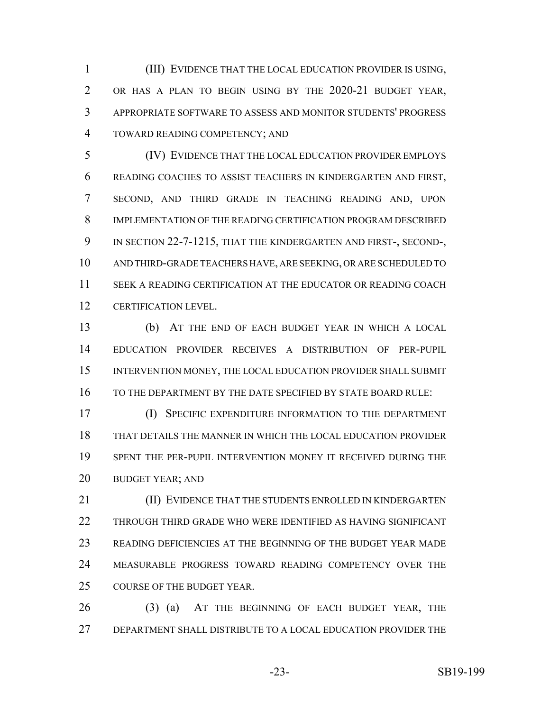(III) EVIDENCE THAT THE LOCAL EDUCATION PROVIDER IS USING, OR HAS A PLAN TO BEGIN USING BY THE 2020-21 BUDGET YEAR, APPROPRIATE SOFTWARE TO ASSESS AND MONITOR STUDENTS' PROGRESS TOWARD READING COMPETENCY; AND

 (IV) EVIDENCE THAT THE LOCAL EDUCATION PROVIDER EMPLOYS READING COACHES TO ASSIST TEACHERS IN KINDERGARTEN AND FIRST, SECOND, AND THIRD GRADE IN TEACHING READING AND, UPON IMPLEMENTATION OF THE READING CERTIFICATION PROGRAM DESCRIBED IN SECTION 22-7-1215, THAT THE KINDERGARTEN AND FIRST-, SECOND-, AND THIRD-GRADE TEACHERS HAVE, ARE SEEKING, OR ARE SCHEDULED TO SEEK A READING CERTIFICATION AT THE EDUCATOR OR READING COACH CERTIFICATION LEVEL.

 (b) AT THE END OF EACH BUDGET YEAR IN WHICH A LOCAL EDUCATION PROVIDER RECEIVES A DISTRIBUTION OF PER-PUPIL INTERVENTION MONEY, THE LOCAL EDUCATION PROVIDER SHALL SUBMIT TO THE DEPARTMENT BY THE DATE SPECIFIED BY STATE BOARD RULE:

 (I) SPECIFIC EXPENDITURE INFORMATION TO THE DEPARTMENT THAT DETAILS THE MANNER IN WHICH THE LOCAL EDUCATION PROVIDER SPENT THE PER-PUPIL INTERVENTION MONEY IT RECEIVED DURING THE BUDGET YEAR; AND

**(II) EVIDENCE THAT THE STUDENTS ENROLLED IN KINDERGARTEN**  THROUGH THIRD GRADE WHO WERE IDENTIFIED AS HAVING SIGNIFICANT READING DEFICIENCIES AT THE BEGINNING OF THE BUDGET YEAR MADE MEASURABLE PROGRESS TOWARD READING COMPETENCY OVER THE COURSE OF THE BUDGET YEAR.

 (3) (a) AT THE BEGINNING OF EACH BUDGET YEAR, THE DEPARTMENT SHALL DISTRIBUTE TO A LOCAL EDUCATION PROVIDER THE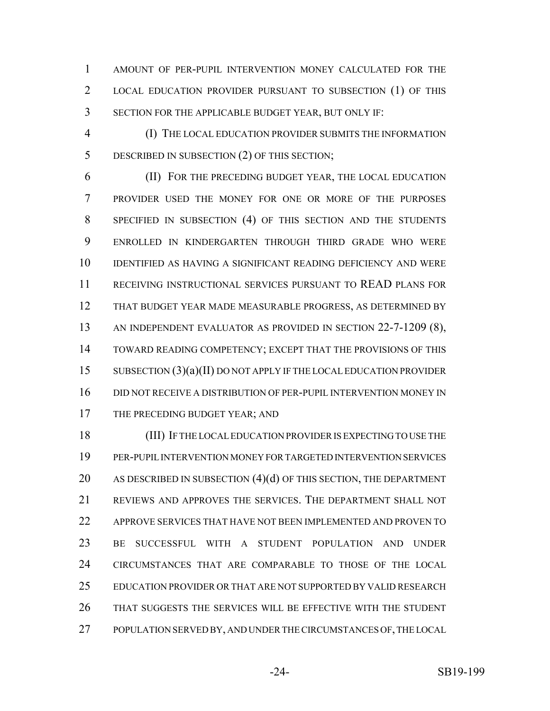AMOUNT OF PER-PUPIL INTERVENTION MONEY CALCULATED FOR THE LOCAL EDUCATION PROVIDER PURSUANT TO SUBSECTION (1) OF THIS SECTION FOR THE APPLICABLE BUDGET YEAR, BUT ONLY IF:

 (I) THE LOCAL EDUCATION PROVIDER SUBMITS THE INFORMATION DESCRIBED IN SUBSECTION (2) OF THIS SECTION;

 (II) FOR THE PRECEDING BUDGET YEAR, THE LOCAL EDUCATION PROVIDER USED THE MONEY FOR ONE OR MORE OF THE PURPOSES SPECIFIED IN SUBSECTION (4) OF THIS SECTION AND THE STUDENTS ENROLLED IN KINDERGARTEN THROUGH THIRD GRADE WHO WERE IDENTIFIED AS HAVING A SIGNIFICANT READING DEFICIENCY AND WERE RECEIVING INSTRUCTIONAL SERVICES PURSUANT TO READ PLANS FOR THAT BUDGET YEAR MADE MEASURABLE PROGRESS, AS DETERMINED BY AN INDEPENDENT EVALUATOR AS PROVIDED IN SECTION 22-7-1209 (8), TOWARD READING COMPETENCY; EXCEPT THAT THE PROVISIONS OF THIS SUBSECTION (3)(a)(II) DO NOT APPLY IF THE LOCAL EDUCATION PROVIDER DID NOT RECEIVE A DISTRIBUTION OF PER-PUPIL INTERVENTION MONEY IN 17 THE PRECEDING BUDGET YEAR; AND

 (III) IF THE LOCAL EDUCATION PROVIDER IS EXPECTING TO USE THE PER-PUPIL INTERVENTION MONEY FOR TARGETED INTERVENTION SERVICES 20 AS DESCRIBED IN SUBSECTION (4)(d) OF THIS SECTION, THE DEPARTMENT REVIEWS AND APPROVES THE SERVICES. THE DEPARTMENT SHALL NOT APPROVE SERVICES THAT HAVE NOT BEEN IMPLEMENTED AND PROVEN TO BE SUCCESSFUL WITH A STUDENT POPULATION AND UNDER CIRCUMSTANCES THAT ARE COMPARABLE TO THOSE OF THE LOCAL EDUCATION PROVIDER OR THAT ARE NOT SUPPORTED BY VALID RESEARCH THAT SUGGESTS THE SERVICES WILL BE EFFECTIVE WITH THE STUDENT POPULATION SERVED BY, AND UNDER THE CIRCUMSTANCES OF, THE LOCAL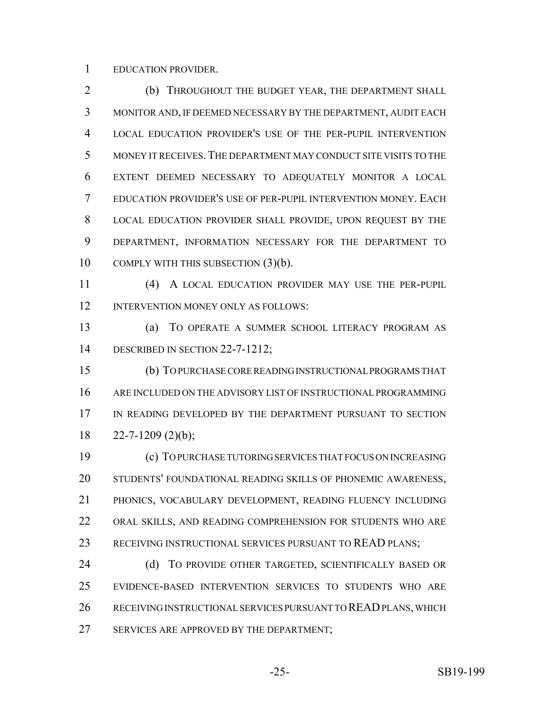EDUCATION PROVIDER.

 (b) THROUGHOUT THE BUDGET YEAR, THE DEPARTMENT SHALL MONITOR AND, IF DEEMED NECESSARY BY THE DEPARTMENT, AUDIT EACH LOCAL EDUCATION PROVIDER'S USE OF THE PER-PUPIL INTERVENTION MONEY IT RECEIVES.THE DEPARTMENT MAY CONDUCT SITE VISITS TO THE EXTENT DEEMED NECESSARY TO ADEQUATELY MONITOR A LOCAL EDUCATION PROVIDER'S USE OF PER-PUPIL INTERVENTION MONEY. EACH LOCAL EDUCATION PROVIDER SHALL PROVIDE, UPON REQUEST BY THE DEPARTMENT, INFORMATION NECESSARY FOR THE DEPARTMENT TO COMPLY WITH THIS SUBSECTION (3)(b).

 (4) A LOCAL EDUCATION PROVIDER MAY USE THE PER-PUPIL 12 INTERVENTION MONEY ONLY AS FOLLOWS:

 (a) TO OPERATE A SUMMER SCHOOL LITERACY PROGRAM AS 14 DESCRIBED IN SECTION 22-7-1212;

 (b) TO PURCHASE CORE READING INSTRUCTIONAL PROGRAMS THAT ARE INCLUDED ON THE ADVISORY LIST OF INSTRUCTIONAL PROGRAMMING IN READING DEVELOPED BY THE DEPARTMENT PURSUANT TO SECTION  $18 \qquad 22 - 7 - 1209 \; (2)(b)$ ;

 (c) TO PURCHASE TUTORING SERVICES THAT FOCUS ON INCREASING STUDENTS' FOUNDATIONAL READING SKILLS OF PHONEMIC AWARENESS, PHONICS, VOCABULARY DEVELOPMENT, READING FLUENCY INCLUDING ORAL SKILLS, AND READING COMPREHENSION FOR STUDENTS WHO ARE RECEIVING INSTRUCTIONAL SERVICES PURSUANT TO READ PLANS;

24 (d) TO PROVIDE OTHER TARGETED, SCIENTIFICALLY BASED OR EVIDENCE-BASED INTERVENTION SERVICES TO STUDENTS WHO ARE RECEIVING INSTRUCTIONAL SERVICES PURSUANT TO READ PLANS, WHICH 27 SERVICES ARE APPROVED BY THE DEPARTMENT;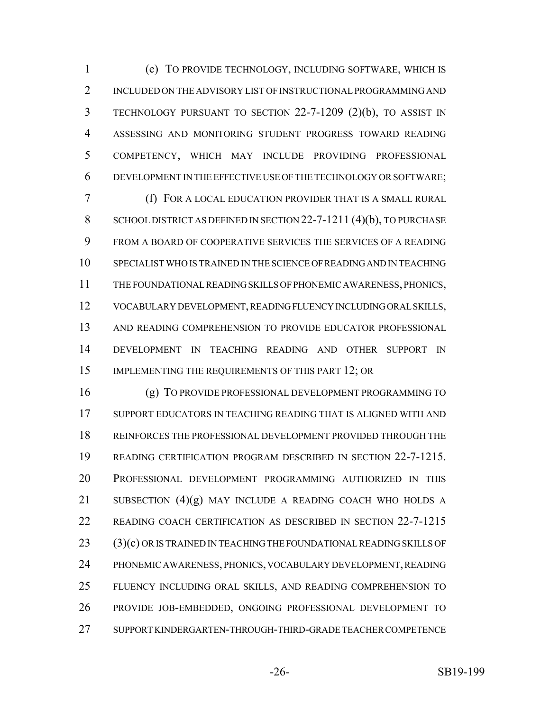(e) TO PROVIDE TECHNOLOGY, INCLUDING SOFTWARE, WHICH IS INCLUDED ON THE ADVISORY LIST OF INSTRUCTIONAL PROGRAMMING AND TECHNOLOGY PURSUANT TO SECTION 22-7-1209 (2)(b), TO ASSIST IN ASSESSING AND MONITORING STUDENT PROGRESS TOWARD READING COMPETENCY, WHICH MAY INCLUDE PROVIDING PROFESSIONAL DEVELOPMENT IN THE EFFECTIVE USE OF THE TECHNOLOGY OR SOFTWARE;

 (f) FOR A LOCAL EDUCATION PROVIDER THAT IS A SMALL RURAL 8 SCHOOL DISTRICT AS DEFINED IN SECTION 22-7-1211 (4)(b), TO PURCHASE FROM A BOARD OF COOPERATIVE SERVICES THE SERVICES OF A READING SPECIALIST WHO IS TRAINED IN THE SCIENCE OF READING AND IN TEACHING THE FOUNDATIONAL READING SKILLS OF PHONEMIC AWARENESS, PHONICS, VOCABULARY DEVELOPMENT, READING FLUENCY INCLUDING ORAL SKILLS, AND READING COMPREHENSION TO PROVIDE EDUCATOR PROFESSIONAL DEVELOPMENT IN TEACHING READING AND OTHER SUPPORT IN 15 IMPLEMENTING THE REQUIREMENTS OF THIS PART 12; OR

 (g) TO PROVIDE PROFESSIONAL DEVELOPMENT PROGRAMMING TO SUPPORT EDUCATORS IN TEACHING READING THAT IS ALIGNED WITH AND REINFORCES THE PROFESSIONAL DEVELOPMENT PROVIDED THROUGH THE READING CERTIFICATION PROGRAM DESCRIBED IN SECTION 22-7-1215. PROFESSIONAL DEVELOPMENT PROGRAMMING AUTHORIZED IN THIS SUBSECTION (4)(g) MAY INCLUDE A READING COACH WHO HOLDS A READING COACH CERTIFICATION AS DESCRIBED IN SECTION 22-7-1215 (3)(c) OR IS TRAINED IN TEACHING THE FOUNDATIONAL READING SKILLS OF PHONEMIC AWARENESS, PHONICS, VOCABULARY DEVELOPMENT, READING FLUENCY INCLUDING ORAL SKILLS, AND READING COMPREHENSION TO PROVIDE JOB-EMBEDDED, ONGOING PROFESSIONAL DEVELOPMENT TO SUPPORT KINDERGARTEN-THROUGH-THIRD-GRADE TEACHER COMPETENCE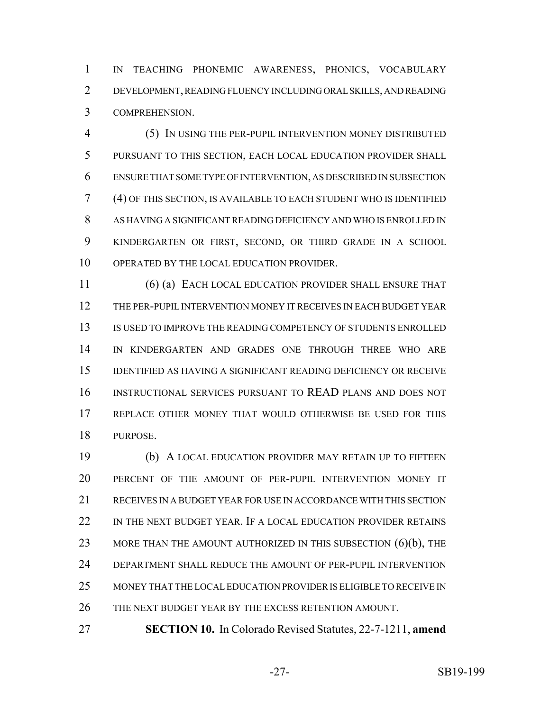IN TEACHING PHONEMIC AWARENESS, PHONICS, VOCABULARY DEVELOPMENT, READING FLUENCY INCLUDING ORAL SKILLS, AND READING COMPREHENSION.

 (5) IN USING THE PER-PUPIL INTERVENTION MONEY DISTRIBUTED PURSUANT TO THIS SECTION, EACH LOCAL EDUCATION PROVIDER SHALL ENSURE THAT SOME TYPE OF INTERVENTION, AS DESCRIBED IN SUBSECTION (4) OF THIS SECTION, IS AVAILABLE TO EACH STUDENT WHO IS IDENTIFIED AS HAVING A SIGNIFICANT READING DEFICIENCY AND WHO IS ENROLLED IN KINDERGARTEN OR FIRST, SECOND, OR THIRD GRADE IN A SCHOOL OPERATED BY THE LOCAL EDUCATION PROVIDER.

 (6) (a) EACH LOCAL EDUCATION PROVIDER SHALL ENSURE THAT THE PER-PUPIL INTERVENTION MONEY IT RECEIVES IN EACH BUDGET YEAR IS USED TO IMPROVE THE READING COMPETENCY OF STUDENTS ENROLLED IN KINDERGARTEN AND GRADES ONE THROUGH THREE WHO ARE IDENTIFIED AS HAVING A SIGNIFICANT READING DEFICIENCY OR RECEIVE INSTRUCTIONAL SERVICES PURSUANT TO READ PLANS AND DOES NOT REPLACE OTHER MONEY THAT WOULD OTHERWISE BE USED FOR THIS PURPOSE.

 (b) A LOCAL EDUCATION PROVIDER MAY RETAIN UP TO FIFTEEN PERCENT OF THE AMOUNT OF PER-PUPIL INTERVENTION MONEY IT RECEIVES IN A BUDGET YEAR FOR USE IN ACCORDANCE WITH THIS SECTION 22 IN THE NEXT BUDGET YEAR. IF A LOCAL EDUCATION PROVIDER RETAINS 23 MORE THAN THE AMOUNT AUTHORIZED IN THIS SUBSECTION (6)(b), THE DEPARTMENT SHALL REDUCE THE AMOUNT OF PER-PUPIL INTERVENTION MONEY THAT THE LOCAL EDUCATION PROVIDER IS ELIGIBLE TO RECEIVE IN THE NEXT BUDGET YEAR BY THE EXCESS RETENTION AMOUNT.

**SECTION 10.** In Colorado Revised Statutes, 22-7-1211, **amend**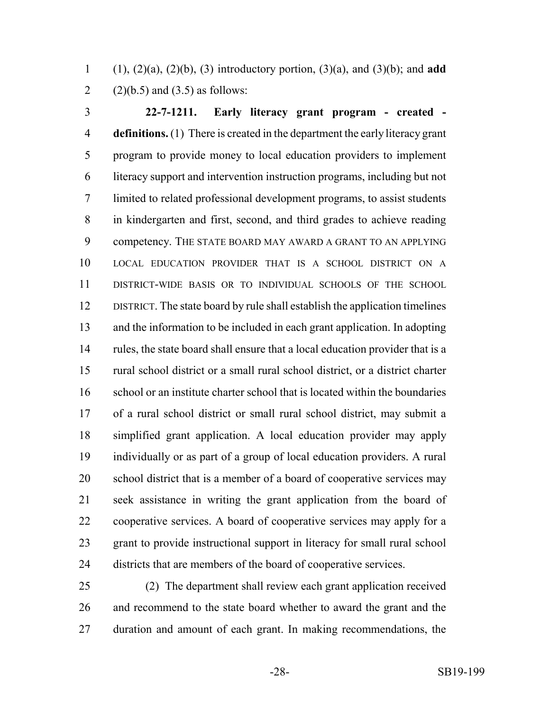(1), (2)(a), (2)(b), (3) introductory portion, (3)(a), and (3)(b); and **add** 2 (2)(b.5) and (3.5) as follows:

 **22-7-1211. Early literacy grant program - created - definitions.** (1) There is created in the department the early literacy grant program to provide money to local education providers to implement literacy support and intervention instruction programs, including but not limited to related professional development programs, to assist students in kindergarten and first, second, and third grades to achieve reading competency. THE STATE BOARD MAY AWARD A GRANT TO AN APPLYING LOCAL EDUCATION PROVIDER THAT IS A SCHOOL DISTRICT ON A DISTRICT-WIDE BASIS OR TO INDIVIDUAL SCHOOLS OF THE SCHOOL DISTRICT. The state board by rule shall establish the application timelines and the information to be included in each grant application. In adopting rules, the state board shall ensure that a local education provider that is a rural school district or a small rural school district, or a district charter school or an institute charter school that is located within the boundaries of a rural school district or small rural school district, may submit a simplified grant application. A local education provider may apply individually or as part of a group of local education providers. A rural school district that is a member of a board of cooperative services may seek assistance in writing the grant application from the board of cooperative services. A board of cooperative services may apply for a grant to provide instructional support in literacy for small rural school districts that are members of the board of cooperative services.

 (2) The department shall review each grant application received and recommend to the state board whether to award the grant and the duration and amount of each grant. In making recommendations, the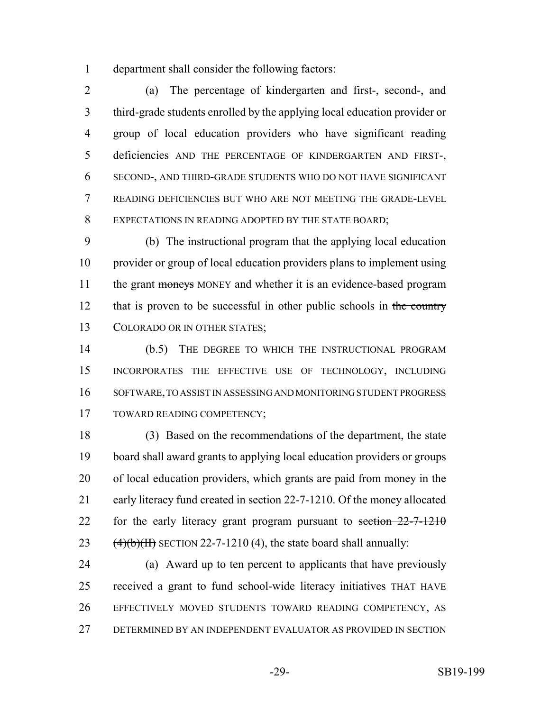department shall consider the following factors:

 (a) The percentage of kindergarten and first-, second-, and third-grade students enrolled by the applying local education provider or group of local education providers who have significant reading deficiencies AND THE PERCENTAGE OF KINDERGARTEN AND FIRST-, SECOND-, AND THIRD-GRADE STUDENTS WHO DO NOT HAVE SIGNIFICANT READING DEFICIENCIES BUT WHO ARE NOT MEETING THE GRADE-LEVEL 8 EXPECTATIONS IN READING ADOPTED BY THE STATE BOARD;

 (b) The instructional program that the applying local education provider or group of local education providers plans to implement using 11 the grant moneys MONEY and whether it is an evidence-based program 12 that is proven to be successful in other public schools in the country COLORADO OR IN OTHER STATES;

 (b.5) THE DEGREE TO WHICH THE INSTRUCTIONAL PROGRAM INCORPORATES THE EFFECTIVE USE OF TECHNOLOGY, INCLUDING SOFTWARE, TO ASSIST IN ASSESSING AND MONITORING STUDENT PROGRESS TOWARD READING COMPETENCY;

 (3) Based on the recommendations of the department, the state board shall award grants to applying local education providers or groups of local education providers, which grants are paid from money in the early literacy fund created in section 22-7-1210. Of the money allocated 22 for the early literacy grant program pursuant to section  $22-7-1210$  $(4)(b)(H)$  SECTION 22-7-1210 (4), the state board shall annually:

 (a) Award up to ten percent to applicants that have previously received a grant to fund school-wide literacy initiatives THAT HAVE EFFECTIVELY MOVED STUDENTS TOWARD READING COMPETENCY, AS DETERMINED BY AN INDEPENDENT EVALUATOR AS PROVIDED IN SECTION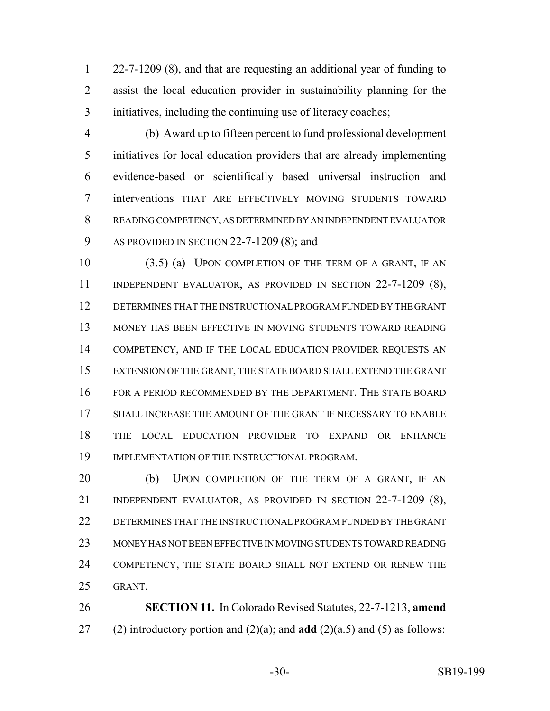22-7-1209 (8), and that are requesting an additional year of funding to assist the local education provider in sustainability planning for the initiatives, including the continuing use of literacy coaches;

 (b) Award up to fifteen percent to fund professional development initiatives for local education providers that are already implementing evidence-based or scientifically based universal instruction and interventions THAT ARE EFFECTIVELY MOVING STUDENTS TOWARD READING COMPETENCY, AS DETERMINED BY AN INDEPENDENT EVALUATOR AS PROVIDED IN SECTION 22-7-1209 (8); and

 (3.5) (a) UPON COMPLETION OF THE TERM OF A GRANT, IF AN INDEPENDENT EVALUATOR, AS PROVIDED IN SECTION 22-7-1209 (8), DETERMINES THAT THE INSTRUCTIONAL PROGRAM FUNDED BY THE GRANT MONEY HAS BEEN EFFECTIVE IN MOVING STUDENTS TOWARD READING 14 COMPETENCY, AND IF THE LOCAL EDUCATION PROVIDER REQUESTS AN EXTENSION OF THE GRANT, THE STATE BOARD SHALL EXTEND THE GRANT FOR A PERIOD RECOMMENDED BY THE DEPARTMENT. THE STATE BOARD 17 SHALL INCREASE THE AMOUNT OF THE GRANT IF NECESSARY TO ENABLE THE LOCAL EDUCATION PROVIDER TO EXPAND OR ENHANCE IMPLEMENTATION OF THE INSTRUCTIONAL PROGRAM.

20 (b) UPON COMPLETION OF THE TERM OF A GRANT, IF AN INDEPENDENT EVALUATOR, AS PROVIDED IN SECTION 22-7-1209 (8), DETERMINES THAT THE INSTRUCTIONAL PROGRAM FUNDED BY THE GRANT MONEY HAS NOT BEEN EFFECTIVE IN MOVING STUDENTS TOWARD READING COMPETENCY, THE STATE BOARD SHALL NOT EXTEND OR RENEW THE GRANT.

 **SECTION 11.** In Colorado Revised Statutes, 22-7-1213, **amend** (2) introductory portion and (2)(a); and **add** (2)(a.5) and (5) as follows: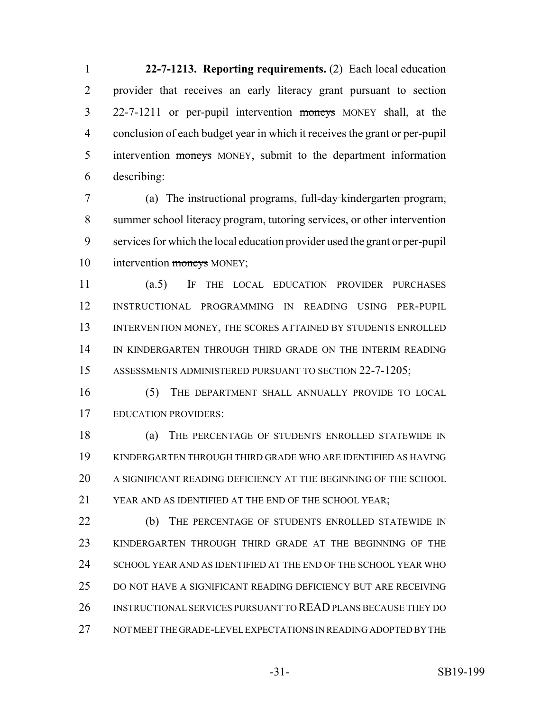**22-7-1213. Reporting requirements.** (2) Each local education provider that receives an early literacy grant pursuant to section 22-7-1211 or per-pupil intervention moneys MONEY shall, at the conclusion of each budget year in which it receives the grant or per-pupil 5 intervention moneys MONEY, submit to the department information describing:

 (a) The instructional programs, full-day kindergarten program, summer school literacy program, tutoring services, or other intervention services for which the local education provider used the grant or per-pupil 10 intervention moneys MONEY;

 (a.5) IF THE LOCAL EDUCATION PROVIDER PURCHASES INSTRUCTIONAL PROGRAMMING IN READING USING PER-PUPIL 13 INTERVENTION MONEY, THE SCORES ATTAINED BY STUDENTS ENROLLED IN KINDERGARTEN THROUGH THIRD GRADE ON THE INTERIM READING ASSESSMENTS ADMINISTERED PURSUANT TO SECTION 22-7-1205;

 (5) THE DEPARTMENT SHALL ANNUALLY PROVIDE TO LOCAL EDUCATION PROVIDERS:

 (a) THE PERCENTAGE OF STUDENTS ENROLLED STATEWIDE IN KINDERGARTEN THROUGH THIRD GRADE WHO ARE IDENTIFIED AS HAVING A SIGNIFICANT READING DEFICIENCY AT THE BEGINNING OF THE SCHOOL YEAR AND AS IDENTIFIED AT THE END OF THE SCHOOL YEAR;

22 (b) THE PERCENTAGE OF STUDENTS ENROLLED STATEWIDE IN KINDERGARTEN THROUGH THIRD GRADE AT THE BEGINNING OF THE SCHOOL YEAR AND AS IDENTIFIED AT THE END OF THE SCHOOL YEAR WHO DO NOT HAVE A SIGNIFICANT READING DEFICIENCY BUT ARE RECEIVING INSTRUCTIONAL SERVICES PURSUANT TO READ PLANS BECAUSE THEY DO NOT MEET THE GRADE-LEVEL EXPECTATIONS IN READING ADOPTED BY THE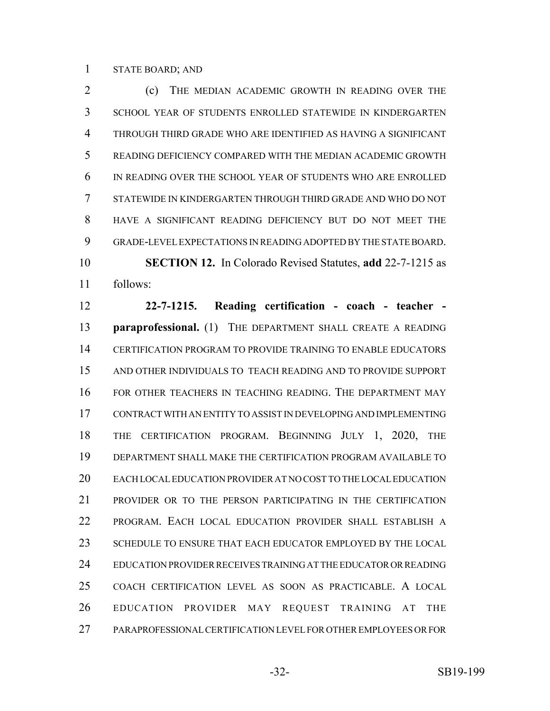#### STATE BOARD; AND

**(c)** THE MEDIAN ACADEMIC GROWTH IN READING OVER THE SCHOOL YEAR OF STUDENTS ENROLLED STATEWIDE IN KINDERGARTEN THROUGH THIRD GRADE WHO ARE IDENTIFIED AS HAVING A SIGNIFICANT READING DEFICIENCY COMPARED WITH THE MEDIAN ACADEMIC GROWTH IN READING OVER THE SCHOOL YEAR OF STUDENTS WHO ARE ENROLLED STATEWIDE IN KINDERGARTEN THROUGH THIRD GRADE AND WHO DO NOT HAVE A SIGNIFICANT READING DEFICIENCY BUT DO NOT MEET THE GRADE-LEVEL EXPECTATIONS IN READING ADOPTED BY THE STATE BOARD. **SECTION 12.** In Colorado Revised Statutes, **add** 22-7-1215 as follows:

 **22-7-1215. Reading certification - coach - teacher - paraprofessional.** (1) THE DEPARTMENT SHALL CREATE A READING CERTIFICATION PROGRAM TO PROVIDE TRAINING TO ENABLE EDUCATORS AND OTHER INDIVIDUALS TO TEACH READING AND TO PROVIDE SUPPORT FOR OTHER TEACHERS IN TEACHING READING. THE DEPARTMENT MAY CONTRACT WITH AN ENTITY TO ASSIST IN DEVELOPING AND IMPLEMENTING THE CERTIFICATION PROGRAM. BEGINNING JULY 1, 2020, THE DEPARTMENT SHALL MAKE THE CERTIFICATION PROGRAM AVAILABLE TO EACH LOCAL EDUCATION PROVIDER AT NO COST TO THE LOCAL EDUCATION PROVIDER OR TO THE PERSON PARTICIPATING IN THE CERTIFICATION PROGRAM. EACH LOCAL EDUCATION PROVIDER SHALL ESTABLISH A 23 SCHEDULE TO ENSURE THAT EACH EDUCATOR EMPLOYED BY THE LOCAL EDUCATION PROVIDER RECEIVES TRAINING AT THE EDUCATOR OR READING COACH CERTIFICATION LEVEL AS SOON AS PRACTICABLE. A LOCAL EDUCATION PROVIDER MAY REQUEST TRAINING AT THE PARAPROFESSIONAL CERTIFICATION LEVEL FOR OTHER EMPLOYEES OR FOR

-32- SB19-199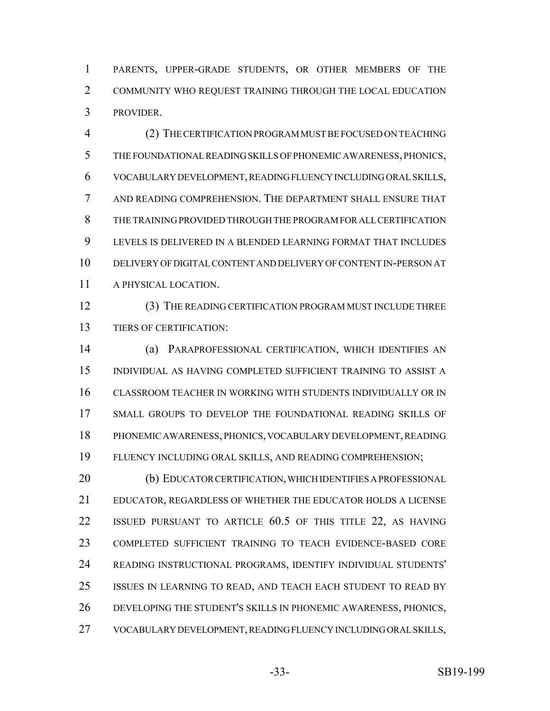PARENTS, UPPER-GRADE STUDENTS, OR OTHER MEMBERS OF THE COMMUNITY WHO REQUEST TRAINING THROUGH THE LOCAL EDUCATION PROVIDER.

 (2) THE CERTIFICATION PROGRAM MUST BE FOCUSED ON TEACHING THE FOUNDATIONAL READING SKILLS OF PHONEMIC AWARENESS, PHONICS, VOCABULARY DEVELOPMENT, READING FLUENCY INCLUDING ORAL SKILLS, AND READING COMPREHENSION. THE DEPARTMENT SHALL ENSURE THAT THE TRAINING PROVIDED THROUGH THE PROGRAM FOR ALL CERTIFICATION LEVELS IS DELIVERED IN A BLENDED LEARNING FORMAT THAT INCLUDES DELIVERY OF DIGITAL CONTENT AND DELIVERY OF CONTENT IN-PERSON AT A PHYSICAL LOCATION.

 (3) THE READING CERTIFICATION PROGRAM MUST INCLUDE THREE TIERS OF CERTIFICATION:

 (a) PARAPROFESSIONAL CERTIFICATION, WHICH IDENTIFIES AN INDIVIDUAL AS HAVING COMPLETED SUFFICIENT TRAINING TO ASSIST A CLASSROOM TEACHER IN WORKING WITH STUDENTS INDIVIDUALLY OR IN SMALL GROUPS TO DEVELOP THE FOUNDATIONAL READING SKILLS OF PHONEMIC AWARENESS, PHONICS, VOCABULARY DEVELOPMENT, READING FLUENCY INCLUDING ORAL SKILLS, AND READING COMPREHENSION;

 (b) EDUCATOR CERTIFICATION, WHICH IDENTIFIES A PROFESSIONAL EDUCATOR, REGARDLESS OF WHETHER THE EDUCATOR HOLDS A LICENSE ISSUED PURSUANT TO ARTICLE 60.5 OF THIS TITLE 22, AS HAVING COMPLETED SUFFICIENT TRAINING TO TEACH EVIDENCE-BASED CORE READING INSTRUCTIONAL PROGRAMS, IDENTIFY INDIVIDUAL STUDENTS' ISSUES IN LEARNING TO READ, AND TEACH EACH STUDENT TO READ BY DEVELOPING THE STUDENT'S SKILLS IN PHONEMIC AWARENESS, PHONICS, VOCABULARY DEVELOPMENT, READING FLUENCY INCLUDING ORAL SKILLS,